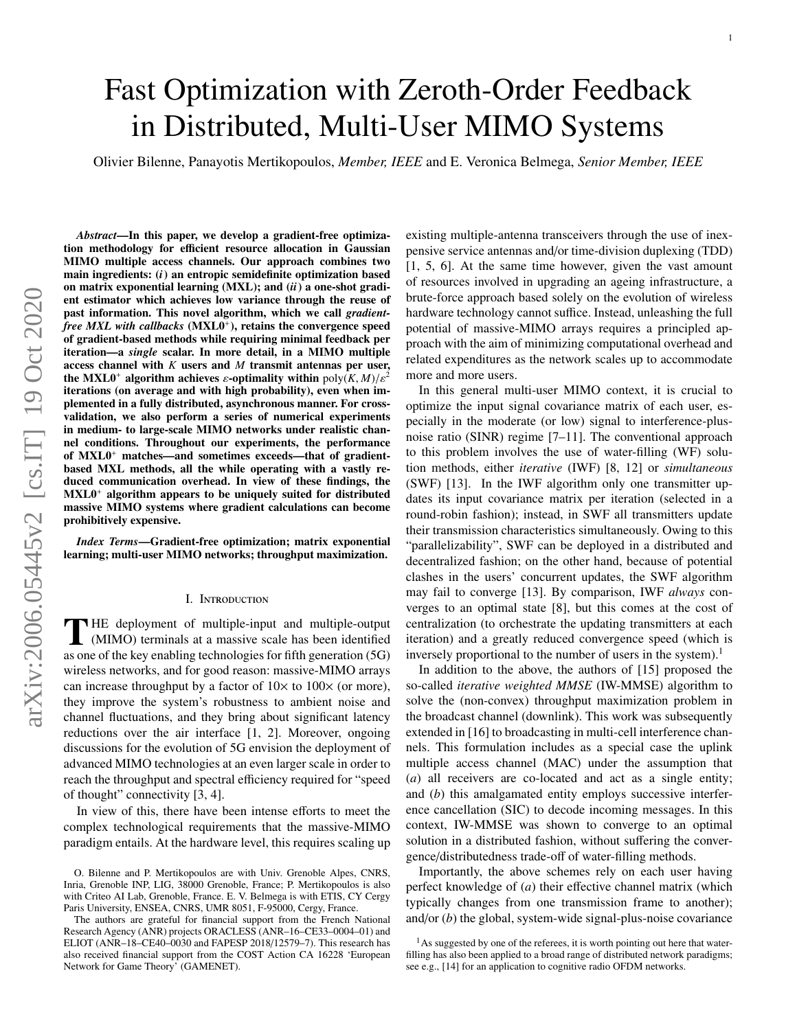# Fast Optimization with Zeroth-Order Feedback in Distributed, Multi-User MIMO Systems

Olivier Bilenne, Panayotis Mertikopoulos, *Member, IEEE* and E. Veronica Belmega, *Senior Member, IEEE*

*Abstract*—In this paper, we develop a gradient-free optimization methodology for efficient resource allocation in Gaussian MIMO multiple access channels. Our approach combines two main ingredients: (*i*) an entropic semidefinite optimization based on matrix exponential learning (MXL); and (*ii*) a one-shot gradient estimator which achieves low variance through the reuse of past information. This novel algorithm, which we call *gradient*free MXL with callbacks (MXL0<sup>+</sup>), retains the convergence speed of gradient-based methods while requiring minimal feedback per iteration—a *single* scalar. In more detail, in a MIMO multiple access channel with *K* users and *M* transmit antennas per user, the MXL0<sup>+</sup> algorithm achieves  $\varepsilon$ -optimality within  $\text{poly}(K, M)/\varepsilon^2$ iterations (on average and with high probability), even when implemented in a fully distributed, asynchronous manner. For crossvalidation, we also perform a series of numerical experiments in medium- to large-scale MIMO networks under realistic channel conditions. Throughout our experiments, the performance of MXL0<sup>+</sup> matches—and sometimes exceeds—that of gradientbased MXL methods, all the while operating with a vastly reduced communication overhead. In view of these findings, the  $MXL0<sup>+</sup>$  algorithm appears to be uniquely suited for distributed massive MIMO systems where gradient calculations can become prohibitively expensive.

*Index Terms*—Gradient-free optimization; matrix exponential learning; multi-user MIMO networks; throughput maximization.

## I. Introduction

THE deployment of multiple-input and multiple-output<br>
(MIMO) terminals at a massive scale has been identified (MIMO) terminals at a massive scale has been identified as one of the key enabling technologies for fifth generation (5G) wireless networks, and for good reason: massive-MIMO arrays can increase throughput by a factor of  $10\times$  to  $100\times$  (or more), they improve the system's robustness to ambient noise and channel fluctuations, and they bring about significant latency reductions over the air interface [\[1,](#page-14-0) [2\]](#page-14-1). Moreover, ongoing discussions for the evolution of 5G envision the deployment of advanced MIMO technologies at an even larger scale in order to reach the throughput and spectral efficiency required for "speed of thought" connectivity [\[3,](#page-14-2) [4\]](#page-14-3).

In view of this, there have been intense efforts to meet the complex technological requirements that the massive-MIMO paradigm entails. At the hardware level, this requires scaling up existing multiple-antenna transceivers through the use of inexpensive service antennas and/or time-division duplexing (TDD) [\[1,](#page-14-0) [5,](#page-14-4) [6\]](#page-14-5). At the same time however, given the vast amount of resources involved in upgrading an ageing infrastructure, a brute-force approach based solely on the evolution of wireless hardware technology cannot suffice. Instead, unleashing the full potential of massive-MIMO arrays requires a principled approach with the aim of minimizing computational overhead and related expenditures as the network scales up to accommodate more and more users.

In this general multi-user MIMO context, it is crucial to optimize the input signal covariance matrix of each user, especially in the moderate (or low) signal to interference-plusnoise ratio (SINR) regime [\[7–](#page-14-6)[11\]](#page-14-7). The conventional approach to this problem involves the use of water-filling (WF) solution methods, either *iterative* (IWF) [\[8,](#page-14-8) [12\]](#page-14-9) or *simultaneous* (SWF) [\[13\]](#page-14-10). In the IWF algorithm only one transmitter updates its input covariance matrix per iteration (selected in a round-robin fashion); instead, in SWF all transmitters update their transmission characteristics simultaneously. Owing to this "parallelizability", SWF can be deployed in a distributed and decentralized fashion; on the other hand, because of potential clashes in the users' concurrent updates, the SWF algorithm may fail to converge [\[13\]](#page-14-10). By comparison, IWF *always* converges to an optimal state [\[8\]](#page-14-8), but this comes at the cost of centralization (to orchestrate the updating transmitters at each iteration) and a greatly reduced convergence speed (which is inversely proportional to the number of users in the system).<sup>[1](#page-0-0)</sup>

In addition to the above, the authors of [\[15\]](#page-14-11) proposed the so-called *iterative weighted MMSE* (IW-MMSE) algorithm to solve the (non-convex) throughput maximization problem in the broadcast channel (downlink). This work was subsequently extended in [\[16\]](#page-14-12) to broadcasting in multi-cell interference channels. This formulation includes as a special case the uplink multiple access channel (MAC) under the assumption that (*a*) all receivers are co-located and act as a single entity; and (*b*) this amalgamated entity employs successive interference cancellation (SIC) to decode incoming messages. In this context, IW-MMSE was shown to converge to an optimal solution in a distributed fashion, without suffering the convergence/distributedness trade-off of water-filling methods.

Importantly, the above schemes rely on each user having perfect knowledge of (*a*) their effective channel matrix (which typically changes from one transmission frame to another); and/or (*b*) the global, system-wide signal-plus-noise covariance

O. Bilenne and P. Mertikopoulos are with Univ. Grenoble Alpes, CNRS, Inria, Grenoble INP, LIG, 38000 Grenoble, France; P. Mertikopoulos is also with Criteo AI Lab, Grenoble, France. E. V. Belmega is with ETIS, CY Cergy Paris University, ENSEA, CNRS, UMR 8051, F-95000, Cergy, France.

The authors are grateful for financial support from the French National Research Agency (ANR) projects ORACLESS (ANR–16–CE33–0004–01) and ELIOT (ANR–18–CE40–0030 and FAPESP 2018/12579–7). This research has also received financial support from the COST Action CA 16228 'European Network for Game Theory' (GAMENET).

<span id="page-0-0"></span> $<sup>1</sup>$ As suggested by one of the referees, it is worth pointing out here that water-</sup> filling has also been applied to a broad range of distributed network paradigms; see e.g., [\[14\]](#page-14-13) for an application to cognitive radio OFDM networks.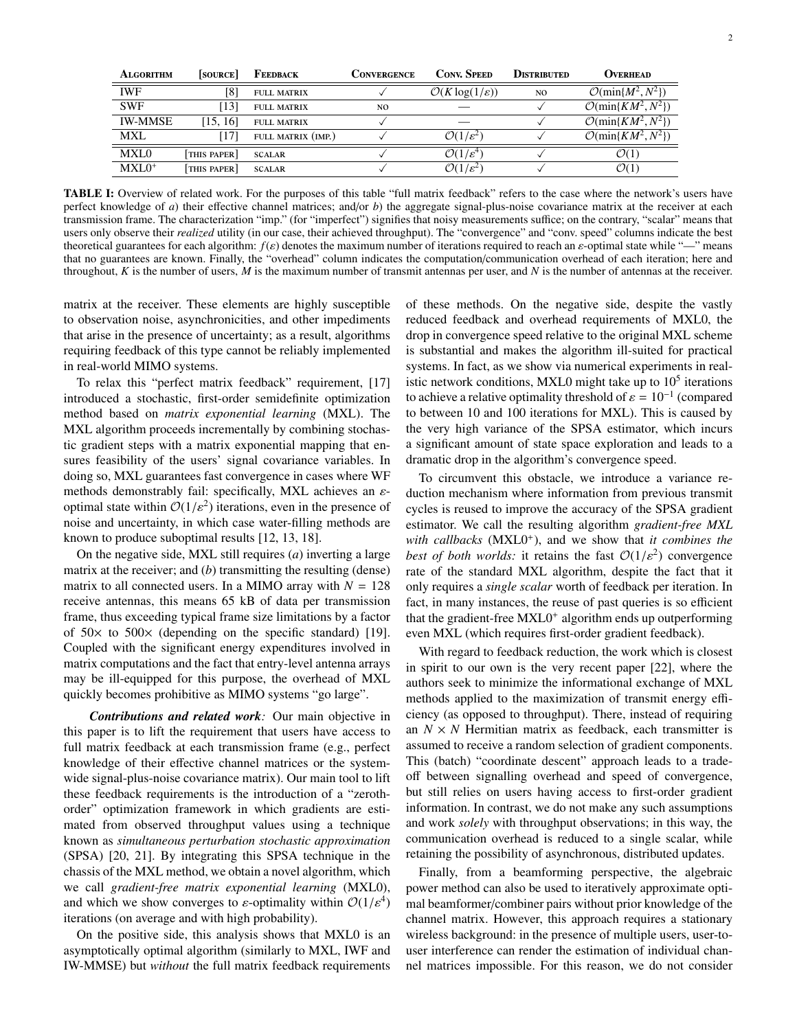<span id="page-1-0"></span>

| <b>ALGORITHM</b> | <b>SOURCE</b> | FEEDBACK           | CONVERGENCE | <b>CONV. SPEED</b>                   | DISTRIBUTED    | OVERHEAD                                   |
|------------------|---------------|--------------------|-------------|--------------------------------------|----------------|--------------------------------------------|
| <b>IWF</b>       | [8]           | <b>FULL MATRIX</b> |             | $\mathcal{O}(K \log(1/\varepsilon))$ | N <sub>O</sub> | $\mathcal{O}(\min\{M^2, N^2\})$            |
| <b>SWF</b>       | 131           | <b>FULL MATRIX</b> | NO.         |                                      |                | $\mathcal{O}(\min\{K\overline{M^2},N^2\})$ |
| <b>IW-MMSE</b>   | [15, 16]      | <b>FULL MATRIX</b> |             |                                      |                | $\mathcal{O}(\min\{KM^2,N^2\})$            |
| MXL              | [17]          | FULL MATRIX (IMP.) |             | $\mathcal{O}(1/\varepsilon^2)$       |                | $\mathcal{O}(\min\{K\overline{M}^2,N^2\})$ |
| MXL0             | THIS PAPER    | <b>SCALAR</b>      |             | $\mathcal{O}(1/\varepsilon^4)$       |                | $\mathcal{O}(1)$                           |
| $MXL0+$          | THIS PAPER    | <b>SCALAR</b>      |             | $\mathcal{O}(1/\varepsilon^2)$       |                | $\mathcal{O}(1)$                           |
|                  |               |                    |             |                                      |                |                                            |

TABLE I: Overview of related work. For the purposes of this table "full matrix feedback" refers to the case where the network's users have perfect knowledge of *a*) their effective channel matrices; and/or *b*) the aggregate signal-plus-noise covariance matrix at the receiver at each transmission frame. The characterization "imp." (for "imperfect") signifies that noisy measurements suffice; on the contrary, "scalar" means that users only observe their *realized* utility (in our case, their achieved throughput). The "convergence" and "conv. speed" columns indicate the best theoretical guarantees for each algorithm:  $f(\varepsilon)$  denotes the maximum number of iterations required to reach an  $\varepsilon$ -optimal state while "—" means that no guarantees are known. Finally, the "overhead" column indicates the computation/communication overhead of each iteration; here and throughout, *K* is the number of users, *M* is the maximum number of transmit antennas per user, and *N* is the number of antennas at the receiver.

matrix at the receiver. These elements are highly susceptible to observation noise, asynchronicities, and other impediments that arise in the presence of uncertainty; as a result, algorithms requiring feedback of this type cannot be reliably implemented in real-world MIMO systems.

To relax this "perfect matrix feedback" requirement, [\[17\]](#page-14-14) introduced a stochastic, first-order semidefinite optimization method based on *matrix exponential learning* (MXL). The MXL algorithm proceeds incrementally by combining stochastic gradient steps with a matrix exponential mapping that ensures feasibility of the users' signal covariance variables. In doing so, MXL guarantees fast convergence in cases where WF methods demonstrably fail: specifically, MXL achieves an  $\varepsilon$ optimal state within  $\mathcal{O}(1/\varepsilon^2)$  iterations, even in the presence of noise and uncertainty in which case water-filling methods are noise and uncertainty, in which case water-filling methods are known to produce suboptimal results [\[12,](#page-14-9) [13,](#page-14-10) [18\]](#page-14-15).

On the negative side, MXL still requires (*a*) inverting a large matrix at the receiver; and (*b*) transmitting the resulting (dense) matrix to all connected users. In a MIMO array with  $N = 128$ receive antennas, this means 65 kB of data per transmission frame, thus exceeding typical frame size limitations by a factor of  $50 \times$  to  $500 \times$  (depending on the specific standard) [\[19\]](#page-15-0). Coupled with the significant energy expenditures involved in matrix computations and the fact that entry-level antenna arrays may be ill-equipped for this purpose, the overhead of MXL quickly becomes prohibitive as MIMO systems "go large".

*Contributions and related work:* Our main objective in this paper is to lift the requirement that users have access to full matrix feedback at each transmission frame (e.g., perfect knowledge of their effective channel matrices or the systemwide signal-plus-noise covariance matrix). Our main tool to lift these feedback requirements is the introduction of a "zerothorder" optimization framework in which gradients are estimated from observed throughput values using a technique known as *simultaneous perturbation stochastic approximation* (SPSA) [\[20,](#page-15-1) [21\]](#page-15-2). By integrating this SPSA technique in the chassis of the MXL method, we obtain a novel algorithm, which we call *gradient-free matrix exponential learning* (MXL0), and which we show converges to  $\varepsilon$ -optimality within  $\mathcal{O}(1/\varepsilon^4)$ <br>iterations (on average and with high probability) iterations (on average and with high probability).

On the positive side, this analysis shows that MXL0 is an asymptotically optimal algorithm (similarly to MXL, IWF and IW-MMSE) but *without* the full matrix feedback requirements of these methods. On the negative side, despite the vastly reduced feedback and overhead requirements of MXL0, the drop in convergence speed relative to the original MXL scheme is substantial and makes the algorithm ill-suited for practical systems. In fact, as we show via numerical experiments in realistic network conditions, MXL0 might take up to  $10^5$  iterations to achieve a relative optimality threshold of  $\varepsilon = 10^{-1}$  (compared<br>to between 10 and 100 iterations for MXL). This is caused by to between 10 and 100 iterations for MXL). This is caused by the very high variance of the SPSA estimator, which incurs a significant amount of state space exploration and leads to a dramatic drop in the algorithm's convergence speed.

To circumvent this obstacle, we introduce a variance reduction mechanism where information from previous transmit cycles is reused to improve the accuracy of the SPSA gradient estimator. We call the resulting algorithm *gradient-free MXL* with callbacks (MXL0<sup>+</sup>), and we show that *it combines the best of both worlds:* it retains the fast  $O(1/\varepsilon^2)$  convergence rate of the standard MXL algorithm, despite the fact that it rate of the standard MXL algorithm, despite the fact that it only requires a *single scalar* worth of feedback per iteration. In fact, in many instances, the reuse of past queries is so efficient that the gradient-free MXL0<sup>+</sup> algorithm ends up outperforming even MXL (which requires first-order gradient feedback).

With regard to feedback reduction, the work which is closest in spirit to our own is the very recent paper [\[22\]](#page-15-3), where the authors seek to minimize the informational exchange of MXL methods applied to the maximization of transmit energy efficiency (as opposed to throughput). There, instead of requiring an  $N \times N$  Hermitian matrix as feedback, each transmitter is assumed to receive a random selection of gradient components. This (batch) "coordinate descent" approach leads to a tradeoff between signalling overhead and speed of convergence, but still relies on users having access to first-order gradient information. In contrast, we do not make any such assumptions and work *solely* with throughput observations; in this way, the communication overhead is reduced to a single scalar, while retaining the possibility of asynchronous, distributed updates.

Finally, from a beamforming perspective, the algebraic power method can also be used to iteratively approximate optimal beamformer/combiner pairs without prior knowledge of the channel matrix. However, this approach requires a stationary wireless background: in the presence of multiple users, user-touser interference can render the estimation of individual channel matrices impossible. For this reason, we do not consider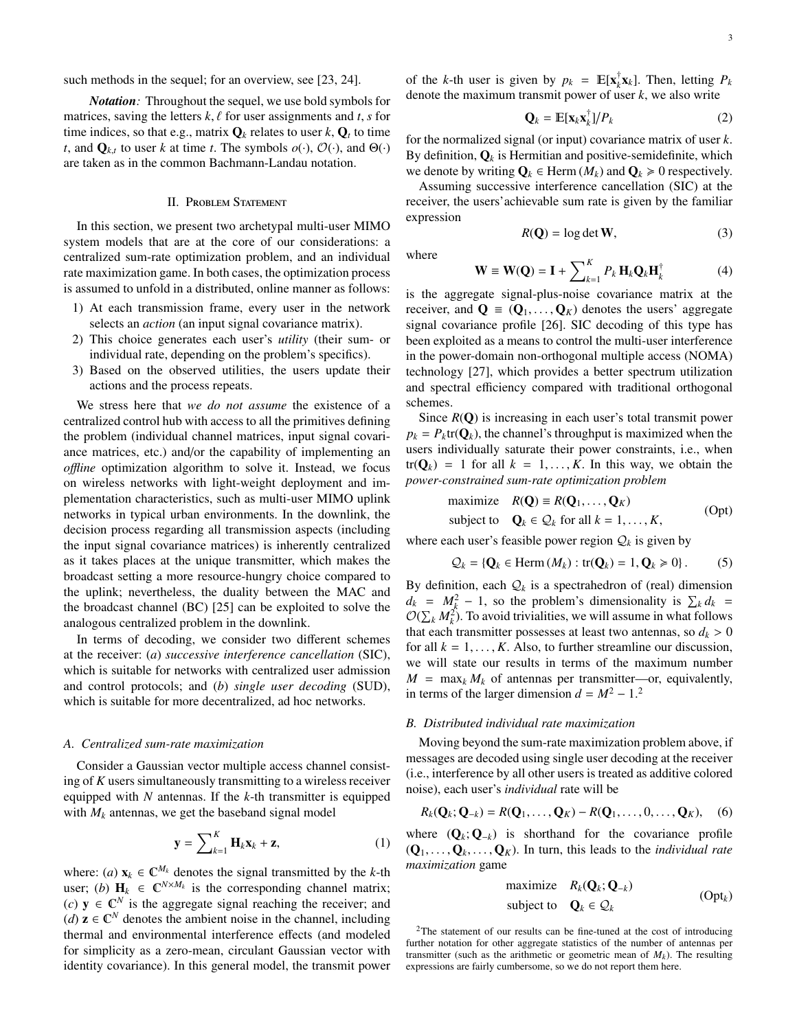such methods in the sequel; for an overview, see [\[23,](#page-15-4) [24\]](#page-15-5).

*Notation:* Throughout the sequel, we use bold symbols for matrices, saving the letters  $k, \ell$  for user assignments and  $t, s$  for time indices, so that e.g., matrix  $\mathbf{Q}_k$  relates to user  $k, \mathbf{Q}_t$  to time *t*, and  $\mathbf{Q}_{k,t}$  to user *k* at time *t*. The symbols  $o(\cdot)$ ,  $O(\cdot)$ , and  $\Theta(\cdot)$ are taken as in the common Bachmann-Landau notation.

# II. Problem Statement

<span id="page-2-3"></span>In this section, we present two archetypal multi-user MIMO system models that are at the core of our considerations: a centralized sum-rate optimization problem, and an individual rate maximization game. In both cases, the optimization process is assumed to unfold in a distributed, online manner as follows:

- 1) At each transmission frame, every user in the network selects an *action* (an input signal covariance matrix).
- 2) This choice generates each user's *utility* (their sum- or individual rate, depending on the problem's specifics).
- 3) Based on the observed utilities, the users update their actions and the process repeats.

We stress here that *we do not assume* the existence of a centralized control hub with access to all the primitives defining the problem (individual channel matrices, input signal covariance matrices, etc.) and/or the capability of implementing an *o*ffl*ine* optimization algorithm to solve it. Instead, we focus on wireless networks with light-weight deployment and implementation characteristics, such as multi-user MIMO uplink networks in typical urban environments. In the downlink, the decision process regarding all transmission aspects (including the input signal covariance matrices) is inherently centralized as it takes places at the unique transmitter, which makes the broadcast setting a more resource-hungry choice compared to the uplink; nevertheless, the duality between the MAC and the broadcast channel (BC) [\[25\]](#page-15-6) can be exploited to solve the analogous centralized problem in the downlink.

In terms of decoding, we consider two different schemes at the receiver: (*a*) *successive interference cancellation* (SIC), which is suitable for networks with centralized user admission and control protocols; and (*b*) *single user decoding* (SUD), which is suitable for more decentralized, ad hoc networks.

#### *A. Centralized sum-rate maximization*

Consider a Gaussian vector multiple access channel consisting of *K* users simultaneously transmitting to a wireless receiver equipped with *N* antennas. If the *k*-th transmitter is equipped with  $M_k$  antennas, we get the baseband signal model

$$
\mathbf{y} = \sum_{k=1}^{K} \mathbf{H}_k \mathbf{x}_k + \mathbf{z},
$$
 (1)

where: (*a*)  $\mathbf{x}_k \in \mathbb{C}^{M_k}$  denotes the signal transmitted by the *k*-th user; (b)  $\mathbf{H}_k \in \mathbb{C}^{N \times M_k}$  is the corresponding channel matrix;  $(c)$  **y** ∈  $\mathbb{C}^N$  is the aggregate signal reaching the receiver; and (*d*)  $z \in \mathbb{C}^N$  denotes the ambient noise in the channel, including thermal and environmental interference effects (and modeled for simplicity as a zero-mean, circulant Gaussian vector with identity covariance). In this general model, the transmit power

of the *k*-th user is given by  $p_k = \mathbb{E}[\mathbf{x}_k^{\dagger}]$  $\int_k^T$ **x**<sub>*k*</sub>]. Then, letting  $P_k$ denote the maximum transmit power of user *k*, we also write

$$
\mathbf{Q}_k = \mathbb{E}[\mathbf{x}_k \mathbf{x}_k^\dagger]/P_k \tag{2}
$$

for the normalized signal (or input) covariance matrix of user *k*. By definition,  $\mathbf{Q}_k$  is Hermitian and positive-semidefinite, which we denote by writing  $Q_k$  ∈ Herm  $(M_k)$  and  $Q_k$  ≥ 0 respectively.

Assuming successive interference cancellation (SIC) at the receiver, the users'achievable sum rate is given by the familiar expression

$$
R(\mathbf{Q}) = \log \det \mathbf{W},\tag{3}
$$

where

$$
\mathbf{W} \equiv \mathbf{W}(\mathbf{Q}) = \mathbf{I} + \sum_{k=1}^{K} P_k \mathbf{H}_k \mathbf{Q}_k \mathbf{H}_k^{\dagger}
$$
 (4)

is the aggregate signal-plus-noise covariance matrix at the receiver, and  $\mathbf{Q} = (\mathbf{Q}_1, \dots, \mathbf{Q}_K)$  denotes the users' aggregate signal covariance profile [\[26\]](#page-15-7). SIC decoding of this type has been exploited as a means to control the multi-user interference in the power-domain non-orthogonal multiple access (NOMA) technology [\[27\]](#page-15-8), which provides a better spectrum utilization and spectral efficiency compared with traditional orthogonal schemes.

Since  $R(Q)$  is increasing in each user's total transmit power  $p_k = P_k$ tr( $\mathbf{Q}_k$ ), the channel's throughput is maximized when the users individually saturate their power constraints, i.e., when  $tr(Q_k) = 1$  for all  $k = 1, \ldots, K$ . In this way, we obtain the *power-constrained sum-rate optimization problem*

<span id="page-2-2"></span>maximize 
$$
R(\mathbf{Q}) \equiv R(\mathbf{Q}_1, ..., \mathbf{Q}_K)
$$
  
subject to  $\mathbf{Q}_k \in \mathcal{Q}_k$  for all  $k = 1, ..., K$ , (Opt)

where each user's feasible power region  $Q_k$  is given by

$$
Q_k = \{ \mathbf{Q}_k \in \text{Herm}\left(M_k\right) : \text{tr}(\mathbf{Q}_k) = 1, \mathbf{Q}_k \geq 0 \} \,.
$$
 (5)

By definition, each  $Q_k$  is a spectrahedron of (real) dimension  $d_k = M_k^2 - 1$ , so the problem's dimensionality is  $\sum_k d_k =$  $\mathcal{O}(\sum_k M_k^2)$ . To avoid trivialities, we will assume in what follows that each transmitter possesses at least two antennas, so  $d_k > 0$ for all  $k = 1, \ldots, K$ . Also, to further streamline our discussion, we will state our results in terms of the maximum number  $M = \max_k M_k$  of antennas per transmitter—or, equivalently, in terms of the larger dimension  $d = M^2 - 1$  $d = M^2 - 1$  $d = M^2 - 1$ <sup>2</sup>

#### <span id="page-2-4"></span>*B. Distributed individual rate maximization*

Moving beyond the sum-rate maximization problem above, if messages are decoded using single user decoding at the receiver (i.e., interference by all other users is treated as additive colored noise), each user's *individual* rate will be

$$
R_k(\mathbf{Q}_k;\mathbf{Q}_{-k})=R(\mathbf{Q}_1,\ldots,\mathbf{Q}_K)-R(\mathbf{Q}_1,\ldots,0,\ldots,\mathbf{Q}_K),
$$
 (6)

where  $(Q_k; Q_{-k})$  is shorthand for the covariance profile  $(Q_1, \ldots, Q_k, \ldots, Q_K)$ . In turn, this leads to the *individual rate maximization* game

<span id="page-2-1"></span>maximize 
$$
R_k(\mathbf{Q}_k; \mathbf{Q}_{-k})
$$
  
subject to  $\mathbf{Q}_k \in \mathcal{Q}_k$  (Opt<sub>k</sub>)

<span id="page-2-0"></span><sup>2</sup>The statement of our results can be fine-tuned at the cost of introducing further notation for other aggregate statistics of the number of antennas per transmitter (such as the arithmetic or geometric mean of  $M_k$ ). The resulting expressions are fairly cumbersome, so we do not report them here.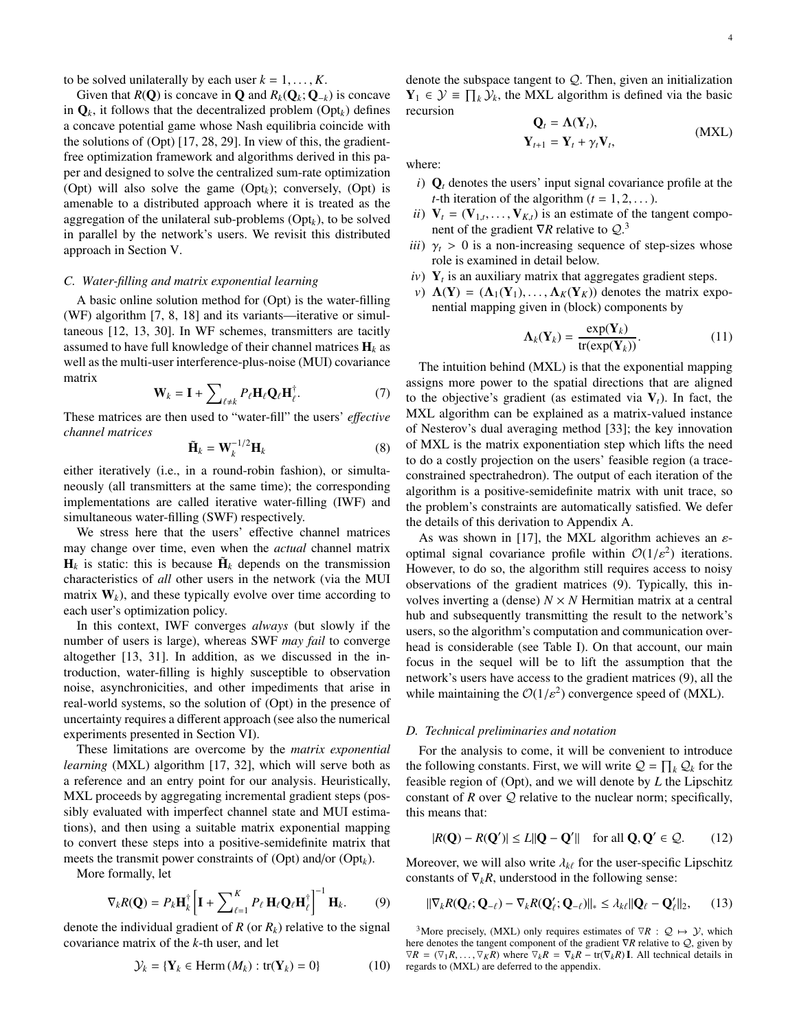to be solved unilaterally by each user  $k = 1, \ldots, K$ .

Given that  $R(Q)$  is concave in Q and  $R_k(Q_k; Q_{-k})$  is concave in  $\mathbf{Q}_k$ , it follows that the decentralized problem [\(Opt](#page-2-1)<sub>k</sub>) defines a concave potential game whose Nash equilibria coincide with the solutions of [\(Opt\)](#page-2-2) [\[17,](#page-14-14) [28,](#page-15-9) [29\]](#page-15-10). In view of this, the gradientfree optimization framework and algorithms derived in this paper and designed to solve the centralized sum-rate optimization [\(Opt\)](#page-2-2) will also solve the game  $(Opt_k)$  $(Opt_k)$ ; conversely,  $(Opt)$  is amenable to a distributed approach where it is treated as the aggregation of the unilateral sub-problems [\(Opt](#page-2-1)*k*), to be solved in parallel by the network's users. We revisit this distributed approach in [Section V.](#page-6-0)

# <span id="page-3-3"></span>*C. Water-filling and matrix exponential learning*

A basic online solution method for [\(Opt\)](#page-2-2) is the water-filling (WF) algorithm [\[7,](#page-14-6) [8,](#page-14-8) [18\]](#page-14-15) and its variants—iterative or simultaneous [\[12,](#page-14-9) [13,](#page-14-10) [30\]](#page-15-11). In WF schemes, transmitters are tacitly assumed to have full knowledge of their channel matrices  $H_k$  as well as the multi-user interference-plus-noise (MUI) covariance matrix

$$
\mathbf{W}_k = \mathbf{I} + \sum_{\ell \neq k} P_{\ell} \mathbf{H}_{\ell} \mathbf{Q}_{\ell} \mathbf{H}_{\ell}^{\dagger}.
$$
 (7)

These matrices are then used to "water-fill" the users' *e*ff*ective channel matrices*

$$
\tilde{\mathbf{H}}_k = \mathbf{W}_k^{-1/2} \mathbf{H}_k
$$
 (8)

either iteratively (i.e., in a round-robin fashion), or simultaneously (all transmitters at the same time); the corresponding implementations are called iterative water-filling (IWF) and simultaneous water-filling (SWF) respectively.

We stress here that the users' effective channel matrices may change over time, even when the *actual* channel matrix  $H_k$  is static: this is because  $\tilde{H}_k$  depends on the transmission characteristics of *all* other users in the network (via the MUI matrix  $W_k$ ), and these typically evolve over time according to each user's optimization policy.

In this context, IWF converges *always* (but slowly if the number of users is large), whereas SWF *may fail* to converge altogether [\[13,](#page-14-10) [31\]](#page-15-12). In addition, as we discussed in the introduction, water-filling is highly susceptible to observation noise, asynchronicities, and other impediments that arise in real-world systems, so the solution of [\(Opt\)](#page-2-2) in the presence of uncertainty requires a different approach (see also the numerical experiments presented in [Section VI\)](#page-7-0).

These limitations are overcome by the *matrix exponential learning* (MXL) algorithm [\[17,](#page-14-14) [32\]](#page-15-13), which will serve both as a reference and an entry point for our analysis. Heuristically, MXL proceeds by aggregating incremental gradient steps (possibly evaluated with imperfect channel state and MUI estimations), and then using a suitable matrix exponential mapping to convert these steps into a positive-semidefinite matrix that meets the transmit power constraints of [\(Opt\)](#page-2-2) and/or [\(Opt](#page-2-1)*k*).

More formally, let

<span id="page-3-2"></span>
$$
\nabla_k R(\mathbf{Q}) = P_k \mathbf{H}_k^{\dagger} \left[ \mathbf{I} + \sum_{\ell=1}^K P_\ell \, \mathbf{H}_\ell \mathbf{Q}_\ell \mathbf{H}_\ell^{\dagger} \right]^{-1} \mathbf{H}_k. \tag{9}
$$

denote the individual gradient of  $R$  (or  $R_k$ ) relative to the signal covariance matrix of the *k*-th user, and let

$$
\mathcal{Y}_k = \{ \mathbf{Y}_k \in \text{Herm}\left( M_k \right) : \text{tr}(\mathbf{Y}_k) = 0 \} \tag{10}
$$

denote the subspace tangent to  $Q$ . Then, given an initialization  $\mathbf{Y}_1 \in \mathcal{Y} \equiv \prod_k \mathcal{Y}_k$ , the MXL algorithm is defined via the basic recursion

<span id="page-3-1"></span>
$$
\mathbf{Q}_t = \mathbf{\Lambda}(\mathbf{Y}_t),
$$
  

$$
\mathbf{Y}_{t+1} = \mathbf{Y}_t + \gamma_t \mathbf{V}_t,
$$
 (MXL)

where:

- $i)$   $\mathbf{Q}_t$  denotes the users' input signal covariance profile at the *t*-th iteration of the algorithm  $(t = 1, 2, ...)$ .
- *ii*)  $V_t = (V_{1,t}, \dots, V_{K,t})$  is an estimate of the tangent component of the gradient  $\nabla R$  relative to  $\Omega^3$ nent of the gradient ∇*R* relative to Q. [3](#page-3-0)
- *iii*)  $\gamma_t > 0$  is a non-increasing sequence of step-sizes whose role is examined in detail below.
- $iv)$   $Y_t$  is an auxiliary matrix that aggregates gradient steps.
- *v*)  $\Lambda(Y) = (\Lambda_1(Y_1), \ldots, \Lambda_K(Y_K))$  denotes the matrix exponential mapping given in (block) components by

$$
\Lambda_k(\mathbf{Y}_k) = \frac{\exp(\mathbf{Y}_k)}{\text{tr}(\exp(\mathbf{Y}_k))}.
$$
 (11)

The intuition behind [\(MXL\)](#page-3-1) is that the exponential mapping assigns more power to the spatial directions that are aligned to the objective's gradient (as estimated via  $V_t$ ). In fact, the MXL algorithm can be explained as a matrix-valued instance of Nesterov's dual averaging method [\[33\]](#page-15-14); the key innovation of MXL is the matrix exponentiation step which lifts the need to do a costly projection on the users' feasible region (a traceconstrained spectrahedron). The output of each iteration of the algorithm is a positive-semidefinite matrix with unit trace, so the problem's constraints are automatically satisfied. We defer the details of this derivation to [Appendix A.](#page-10-0)

As was shown in [\[17\]](#page-14-14), the MXL algorithm achieves an  $\varepsilon$ optimal signal covariance profile within  $\mathcal{O}(1/\varepsilon^2)$  iterations.<br>However to do so the algorithm still requires access to noisy However, to do so, the algorithm still requires access to noisy observations of the gradient matrices [\(9\)](#page-3-2). Typically, this involves inverting a (dense)  $N \times N$  Hermitian matrix at a central hub and subsequently transmitting the result to the network's users, so the algorithm's computation and communication overhead is considerable (see Table [I\)](#page-1-0). On that account, our main focus in the sequel will be to lift the assumption that the network's users have access to the gradient matrices [\(9\)](#page-3-2), all the while maintaining the  $O(1/\varepsilon^2)$  convergence speed of [\(MXL\)](#page-3-1).

# *D. Technical preliminaries and notation*

For the analysis to come, it will be convenient to introduce the following constants. First, we will write  $Q = \prod_k Q_k$  for the feasible region of [\(Opt\)](#page-2-2), and we will denote by *L* the Lipschitz constant of  $R$  over  $Q$  relative to the nuclear norm; specifically, this means that:

<span id="page-3-5"></span>
$$
|R(\mathbf{Q}) - R(\mathbf{Q}')| \le L \|\mathbf{Q} - \mathbf{Q}'\| \quad \text{for all } \mathbf{Q}, \mathbf{Q}' \in \mathcal{Q}. \tag{12}
$$

Moreover, we will also write  $\lambda_{k\ell}$  for the user-specific Lipschitz constants of  $\nabla_k R$ , understood in the following sense:

<span id="page-3-4"></span>
$$
\|\nabla_k R(\mathbf{Q}_\ell; \mathbf{Q}_{-\ell}) - \nabla_k R(\mathbf{Q}'_\ell; \mathbf{Q}_{-\ell})\|_{*} \leq \lambda_k \ell \|\mathbf{Q}_\ell - \mathbf{Q}'_\ell\|_2, \qquad (13)
$$

<span id="page-3-0"></span><sup>3</sup>More precisely, [\(MXL\)](#page-3-1) only requires estimates of  $\nabla R$  :  $Q \mapsto Y$ , which here denotes the tangent component of the gradient  $\nabla R$  relative to  $Q$ , given by  $\nabla R = (\nabla_1 R, \dots, \nabla_K R)$  where  $\nabla_k R = \nabla_k R - \text{tr}(\nabla_k R)$  **I**. All technical details in regards to (MXI) are deferred to the annendix regards to [\(MXL\)](#page-3-1) are deferred to the appendix.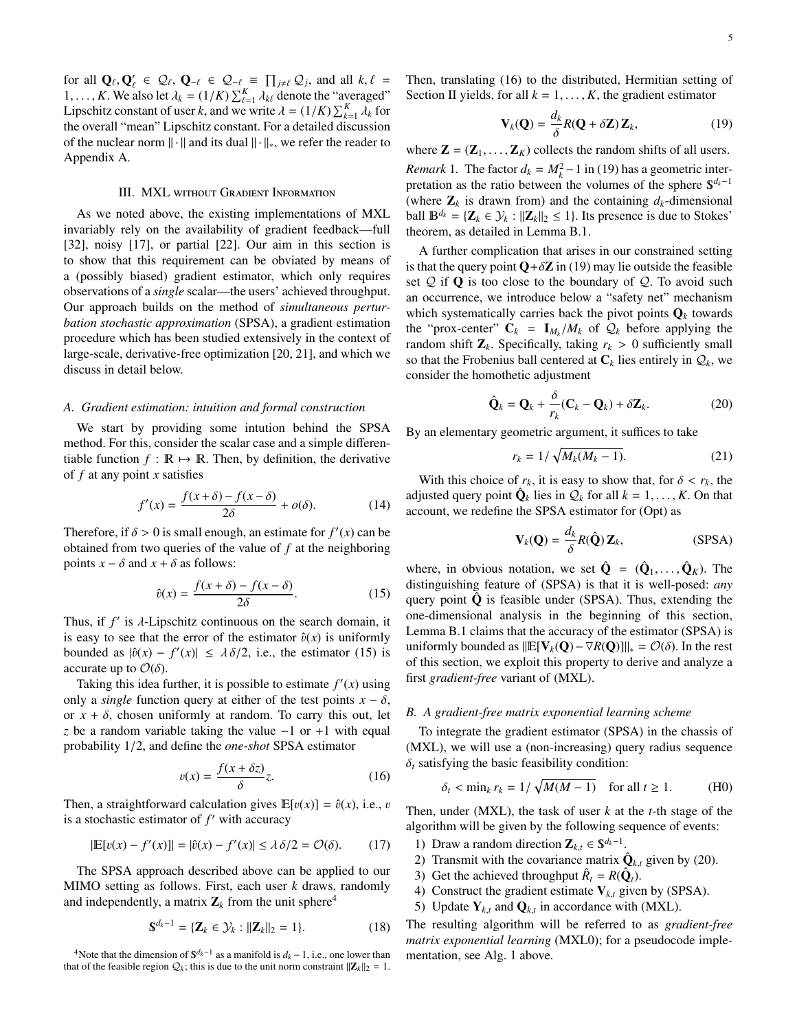for all  $Q_{\ell}, Q'_{\ell} \in Q_{\ell}, Q_{-\ell} \in Q_{-\ell} \equiv \prod_{j \neq \ell} Q_j$ , and all  $k, \ell =$ <br>1 K We also let  $\lambda_i = (1/K) \sum_{k} K$  denote the "averaged" 1,..., *K*. We also let  $\lambda_k = (1/K) \sum_{\ell=1}^K \lambda_k \ell$  denote the "averaged"<br>I inschitz constant of user k and we write  $\lambda = (1/K) \sum_{k=1}^K \lambda_k$  for Lipschitz constant of user *k*, and we write  $\lambda = (1/K) \sum_{k=1}^K \lambda_k$  for the overall "mean" I inschitz constant. For a detailed discussion the overall "mean" Lipschitz constant. For a detailed discussion of the nuclear norm  $\|\cdot\|$  and its dual  $\|\cdot\|_*$ , we refer the reader to [Appendix A.](#page-10-0)

# III. MXL without Gradient Information

<span id="page-4-7"></span>As we noted above, the existing implementations of MXL invariably rely on the availability of gradient feedback—full [\[32\]](#page-15-13), noisy [\[17\]](#page-14-14), or partial [\[22\]](#page-15-3). Our aim in this section is to show that this requirement can be obviated by means of a (possibly biased) gradient estimator, which only requires observations of a *single* scalar—the users' achieved throughput. Our approach builds on the method of *simultaneous perturbation stochastic approximation* (SPSA), a gradient estimation procedure which has been studied extensively in the context of large-scale, derivative-free optimization [\[20,](#page-15-1) [21\]](#page-15-2), and which we discuss in detail below.

#### *A. Gradient estimation: intuition and formal construction*

We start by providing some intution behind the SPSA method. For this, consider the scalar case and a simple differentiable function  $f : \mathbb{R} \mapsto \mathbb{R}$ . Then, by definition, the derivative of *f* at any point *x* satisfies

$$
f'(x) = \frac{f(x+\delta) - f(x-\delta)}{2\delta} + o(\delta).
$$
 (14)

Therefore, if  $\delta > 0$  is small enough, an estimate for  $f'(x)$  can be obtained from two queries of the value of f at the neighboring obtained from two queries of the value of *f* at the neighboring points  $x - \delta$  and  $x + \delta$  as follows:

<span id="page-4-0"></span>
$$
\hat{v}(x) = \frac{f(x+\delta) - f(x-\delta)}{2\delta}.
$$
\n(15)

Thus, if *f'* is *λ*-Lipschitz continuous on the search domain, it<br>is easy to see that the error of the estimator  $\hat{p}(x)$  is uniformly is easy to see that the error of the estimator  $\hat{v}(x)$  is uniformly bounded as  $|\hat{v}(x) - f'(x)| \le \lambda \delta/2$ , i.e., the estimator [\(15\)](#page-4-0) is accurate up to  $\mathcal{O}(\delta)$ accurate up to  $\mathcal{O}(\delta)$ .

Taking this idea further, it is possible to estimate  $f'(x)$  using only a *single* function query at either of the test points  $x - \delta$ , or  $x + \delta$ , chosen uniformly at random. To carry this out, let *z* be a random variable taking the value −1 or +1 with equal probability 1/2, and define the *one-shot* SPSA estimator

<span id="page-4-2"></span>
$$
v(x) = \frac{f(x + \delta z)}{\delta} z.
$$
 (16)

Then, a straightforward calculation gives  $\mathbb{E}[v(x)] = \hat{v}(x)$ , i.e., v is a stochastic estimator of  $f'$  with accuracy

$$
|\mathbb{E}[v(x) - f'(x)]| = |\hat{v}(x) - f'(x)| \le \lambda \delta/2 = \mathcal{O}(\delta). \tag{17}
$$

The SPSA approach described above can be applied to our MIMO setting as follows. First, each user *k* draws, randomly and independently, a matrix  $\mathbf{Z}_k$  from the unit sphere<sup>[4](#page-4-1)</sup>

$$
\mathbf{S}^{d_k - 1} = \{ \mathbf{Z}_k \in \mathcal{Y}_k : ||\mathbf{Z}_k||_2 = 1 \}.
$$
 (18)

<span id="page-4-1"></span><sup>4</sup>Note that the dimension of  $S^{d_k-1}$  as a manifold is  $d_k - 1$ , i.e., one lower than that of the feasible region  $Q_k$ ; this is due to the unit norm constraint  $||\mathbf{Z}_k||_2 = 1$ . Then, translating [\(16\)](#page-4-2) to the distributed, Hermitian setting of [Section II](#page-2-3) yields, for all  $k = 1, \ldots, K$ , the gradient estimator

<span id="page-4-3"></span>
$$
\mathbf{V}_k(\mathbf{Q}) = \frac{d_k}{\delta} R(\mathbf{Q} + \delta \mathbf{Z}) \mathbf{Z}_k, \tag{19}
$$

where  $\mathbf{Z} = (\mathbf{Z}_1, ..., \mathbf{Z}_K)$  collects the random shifts of all users.

*Remark* 1. The factor  $d_k = M_k^2 - 1$  in [\(19\)](#page-4-3) has a geometric interpretation as the ratio between the volumes of the sphere  $S^{d_k-1}$ (where  $\mathbf{Z}_k$  is drawn from) and the containing  $d_k$ -dimensional ball  $\mathbb{B}^{d_k} = \{ \mathbb{Z}_k \in \mathcal{Y}_k : ||\mathbb{Z}_k||_2 \leq 1 \}$ . Its presence is due to Stokes' theorem, as detailed in [Lemma B.1.](#page-11-0)

A further complication that arises in our constrained setting is that the query point  $Q + \delta Z$  in [\(19\)](#page-4-3) may lie outside the feasible set  $Q$  if  $Q$  is too close to the boundary of  $Q$ . To avoid such an occurrence, we introduce below a "safety net" mechanism which systematically carries back the pivot points  $\mathbf{Q}_k$  towards the "prox-center"  $C_k = I_{M_k}/M_k$  of  $Q_k$  before applying the random shift **Z**. Specifically taking  $r_k > 0$  sufficiently small random shift  $\mathbf{Z}_k$ . Specifically, taking  $r_k > 0$  sufficiently small so that the Frobenius ball centered at  $C_k$  lies entirely in  $Q_k$ , we consider the homothetic adjustment

<span id="page-4-5"></span>
$$
\hat{\mathbf{Q}}_k = \mathbf{Q}_k + \frac{\delta}{r_k} (\mathbf{C}_k - \mathbf{Q}_k) + \delta \mathbf{Z}_k.
$$
 (20)

By an elementary geometric argument, it suffices to take

<span id="page-4-9"></span>
$$
r_k = 1/\sqrt{M_k(M_k - 1)}.
$$
 (21)

With this choice of  $r_k$ , it is easy to show that, for  $\delta < r_k$ , the adjusted query point  $\hat{\mathbf{Q}}_k$  lies in  $\mathcal{Q}_k$  for all  $k = 1, ..., K$ . On that account we redefine the SPSA estimator for (Ont) as account, we redefine the SPSA estimator for [\(Opt\)](#page-2-2) as

<span id="page-4-8"></span><span id="page-4-4"></span>
$$
\mathbf{V}_k(\mathbf{Q}) = \frac{d_k}{\delta} R(\hat{\mathbf{Q}}) \mathbf{Z}_k, \qquad \text{(SPSA)}
$$

where, in obvious notation, we set  $\hat{\mathbf{Q}} = (\hat{\mathbf{Q}}_1, \dots, \hat{\mathbf{Q}}_K)$ . The distinguishing feature of (SPSA) is that it is well-posed: *any* distinguishing feature of [\(SPSA\)](#page-4-4) is that it is well-posed: *any* query point  $\hat{Q}$  is feasible under [\(SPSA\)](#page-4-4). Thus, extending the one-dimensional analysis in the beginning of this section, [Lemma B.1](#page-11-0) claims that the accuracy of the estimator [\(SPSA\)](#page-4-4) is uniformly bounded as  $\left\| \mathbb{E}[V_k(Q) - \nabla R(Q)] \right\|_{*} = \mathcal{O}(\delta)$ . In the rest of this section we exploit this property to derive and analyze a of this section, we exploit this property to derive and analyze a first *gradient-free* variant of [\(MXL\)](#page-3-1).

#### *B. A gradient-free matrix exponential learning scheme*

To integrate the gradient estimator [\(SPSA\)](#page-4-4) in the chassis of [\(MXL\)](#page-3-1), we will use a (non-increasing) query radius sequence  $\delta_t$  satisfying the basic feasibility condition:

<span id="page-4-6"></span>
$$
\delta_t < \min_k r_k = \frac{1}{\sqrt{M(M-1)}} \quad \text{for all } t \ge 1. \tag{H0}
$$

Then, under [\(MXL\)](#page-3-1), the task of user *k* at the *t*-th stage of the algorithm will be given by the following sequence of events:

- 1) Draw a random direction  $\mathbb{Z}_{k,t} \in \mathbb{S}^{d_k-1}$ .<br>2) Transmit with the asympton as matrix  $\hat{d}$
- 2) Transmit with the covariance matrix  $\hat{\mathbf{Q}}_{k,t}$  given by [\(20\)](#page-4-5).
- 3) Get the achieved throughput  $\hat{R}_t = R(\hat{Q}_t)$ .
- 4) Construct the gradient estimate  $V_{k,t}$  given by [\(SPSA\)](#page-4-4).
- 5) Update  $Y_{k,t}$  and  $Q_{k,t}$  in accordance with [\(MXL\)](#page-3-1).

The resulting algorithm will be referred to as *gradient-free matrix exponential learning* (MXL0); for a pseudocode implementation, see [Alg. 1](#page-5-0) above.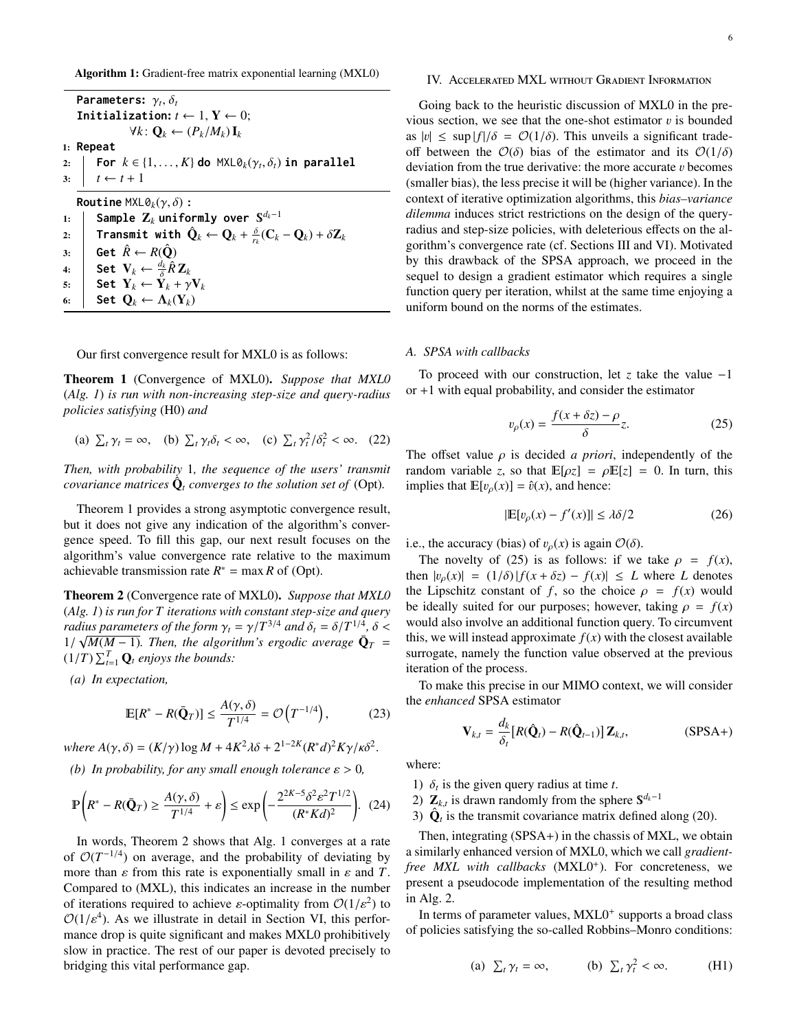<span id="page-5-0"></span>Algorithm 1: Gradient-free matrix exponential learning (MXL0)

**Parameters:** γ<sub>t</sub>,δ<sub>t</sub><br>Initialization: **Initialization:**  $t \leftarrow 1, Y \leftarrow 0$ ; *∀k*:  $\mathbf{Q}_k$  ←  $(P_k/M_k)\mathbf{I}_k$ 1: **Repeat** 2: **For**  $k \in \{1, ..., K\}$  do  $\text{MXL}\partial_k(\gamma_t, \delta_t)$  in parallel  $3: \quad t \leftarrow t + 1$ **Routine**  $MXL@<sub>k</sub>(\gamma, \delta)$ : 1: **Sample** Z*<sup>k</sup>* **uniformly over** *dk*−1 2: **Transmit with**  $\hat{\mathbf{Q}}_k \leftarrow \mathbf{Q}_k + \frac{\delta}{r_k}(\mathbf{C}_k - \mathbf{Q}_k) + \delta \mathbf{Z}_k$ 3: **Get**  $\hat{R} \leftarrow R(\hat{Q})$ 4: Set  $\mathbf{V}_k \leftarrow \frac{d_k}{\delta} \hat{R} \mathbf{Z}_k$ 5: Set  $Y_k \leftarrow \tilde{Y}_k + \gamma V_k$ <br>6: Set  $\Omega_k \leftarrow \Lambda_k(Y_k)$ 6: **Set**  $Q_k \leftarrow \Lambda_k(Y_k)$ 

Our first convergence result for MXL0 is as follows:

<span id="page-5-1"></span>Theorem 1 (Convergence of MXL0). *Suppose that MXL0* (*[Alg. 1](#page-5-0)*) *is run with non-increasing step-size and query-radius policies satisfying* [\(H0\)](#page-4-6) *and*

(a)  $\sum_t \gamma_t = \infty$ , (b)  $\sum_t \gamma_t \delta_t < \infty$ , (c)  $\sum_t \gamma_t^2 / \delta_t^2 < \infty$ . (22)

*Then, with probability* 1*, the sequence of the users' transmit covariance matrices*  $\hat{\mathbf{Q}}_t$  *converges to the solution set of* [\(Opt\)](#page-2-2).

[Theorem 1](#page-5-1) provides a strong asymptotic convergence result, but it does not give any indication of the algorithm's convergence speed. To fill this gap, our next result focuses on the algorithm's value convergence rate relative to the maximum achievable transmission rate  $R^* = \max R$  of [\(Opt\)](#page-2-2).

<span id="page-5-2"></span>Theorem 2 (Convergence rate of MXL0). *Suppose that MXL0* (*[Alg. 1](#page-5-0)*) *is run for T iterations with constant step-size and query radius parameters of the form*  $\gamma_t = \gamma/T^{3/4}$  *and*  $\delta_t = \delta/T^{1/4}, \delta < 1/\sqrt{M(M-1)}$  *Then, the glaorithm's exacdic gyerges*  $\tilde{\mathbf{O}}_x$  – 1/ $\sqrt{M(M-1)}$ . Then, the algorithm's ergodic average  $\bar{\mathbf{Q}}_T = (1/T) \sum_{i=1}^{T} \mathbf{Q}_i$  enjoys the bounds:  $(1/T)$   $\sum_{t=1}^{T}$  **Q**<sub>t</sub> enjoys the bounds:

<span id="page-5-6"></span>*(a) In expectation,*

<span id="page-5-9"></span>
$$
\mathbb{E}[R^* - R(\bar{\mathbf{Q}}_T)] \le \frac{A(\gamma, \delta)}{T^{1/4}} = \mathcal{O}\left(T^{-1/4}\right),\tag{23}
$$

*where*  $A(γ, δ) = (K/γ) \log M + 4K^2 λδ + 2^{1-2K} (R^* d)^2 Kγ/κδ^2$ 

<span id="page-5-7"></span>*(b) In probability, for any small enough tolerance*  $\varepsilon > 0$ *,* 

<span id="page-5-10"></span>
$$
\mathbb{P}\left(R^* - R(\bar{\mathbf{Q}}_T) \ge \frac{A(\gamma,\delta)}{T^{1/4}} + \varepsilon\right) \le \exp\left(-\frac{2^{2K-5}\delta^2 \varepsilon^2 T^{1/2}}{(R^*Kd)^2}\right). \tag{24}
$$

In words, [Theorem 2](#page-5-2) shows that [Alg. 1](#page-5-0) converges at a rate of  $O(T^{-1/4})$  on average, and the probability of deviating by more than  $\varepsilon$  from this rate is exponentially small in  $\varepsilon$  and  $T$ . Compared to [\(MXL\)](#page-3-1), this indicates an increase in the number of iterations required to achieve *ε*-optimality from  $\mathcal{O}(1/\varepsilon^2)$  to  $\mathcal{O}(1/\varepsilon^4)$ . As we illustrate in detail in Section VI this perfor- $\mathcal{O}(1/\varepsilon^4)$ . As we illustrate in detail in [Section VI,](#page-7-0) this perfor-<br>mance drop is quite significant and makes MXI 0 prohibitively mance drop is quite significant and makes MXL0 prohibitively slow in practice. The rest of our paper is devoted precisely to bridging this vital performance gap.

#### 6

# <span id="page-5-5"></span>IV. Accelerated MXL without Gradient Information

Going back to the heuristic discussion of MXL0 in the previous section, we see that the one-shot estimator  $v$  is bounded as  $|v| \le \sup |f|/\delta = \mathcal{O}(1/\delta)$ . This unveils a significant tradeoff between the  $\mathcal{O}(\delta)$  bias of the estimator and its  $\mathcal{O}(1/\delta)$ deviation from the true derivative: the more accurate  $v$  becomes (smaller bias), the less precise it will be (higher variance). In the context of iterative optimization algorithms, this *bias–variance dilemma* induces strict restrictions on the design of the queryradius and step-size policies, with deleterious effects on the algorithm's convergence rate (cf. [Sections III](#page-4-7) and [VI\)](#page-7-0). Motivated by this drawback of the SPSA approach, we proceed in the sequel to design a gradient estimator which requires a single function query per iteration, whilst at the same time enjoying a uniform bound on the norms of the estimates.

## *A. SPSA with callbacks*

To proceed with our construction, let *z* take the value −1 or +1 with equal probability, and consider the estimator

<span id="page-5-3"></span>
$$
v_{\rho}(x) = \frac{f(x + \delta z) - \rho}{\delta} z.
$$
 (25)

The offset value  $\rho$  is decided *a priori*, independently of the random variable *z*, so that  $\mathbb{E}[\rho z] = \rho \mathbb{E}[z] = 0$ . In turn, this implies that  $\mathbb{E}[v_{\rho}(x)] = \hat{v}(x)$ , and hence:

$$
|\mathbb{E}[v_{\rho}(x) - f'(x)]| \le \lambda \delta/2 \tag{26}
$$

i.e., the accuracy (bias) of  $v_{\rho}(x)$  is again  $\mathcal{O}(\delta)$ .

The novelty of [\(25\)](#page-5-3) is as follows: if we take  $\rho = f(x)$ , then  $|v_{\rho}(x)| = (1/\delta) |f(x + \delta z) - f(x)| \leq L$  where *L* denotes the Lipschitz constant of *f*, so the choice  $\rho = f(x)$  would be ideally suited for our purposes; however, taking  $\rho = f(x)$ would also involve an additional function query. To circumvent this, we will instead approximate  $f(x)$  with the closest available surrogate, namely the function value observed at the previous iteration of the process.

To make this precise in our MIMO context, we will consider the *enhanced* SPSA estimator

<span id="page-5-4"></span>
$$
\mathbf{V}_{k,t} = \frac{d_k}{\delta_t} [R(\hat{\mathbf{Q}}_t) - R(\hat{\mathbf{Q}}_{t-1})] \mathbf{Z}_{k,t},
$$
 (SPSA+)

where:

- 1)  $\delta_t$  is the given query radius at time *t*.<br>2) **Z**<sub>*i*</sub> is drawn randomly from the sph
- 2)  $\mathbf{Z}_{k,t}$  is drawn randomly from the sphere  $\mathbf{S}^{d_k-1}$ <br>2)  $\hat{\mathbf{Q}}$  is the transmit equationed matrix defined
- 3)  $\hat{\mathbf{Q}}_t$  is the transmit covariance matrix defined along [\(20\)](#page-4-5).

Then, integrating [\(SPSA](#page-5-4)+) in the chassis of MXL, we obtain a similarly enhanced version of MXL0, which we call *gradient*free MXL with callbacks (MXL0<sup>+</sup>). For concreteness, we present a pseudocode implementation of the resulting method in [Alg. 2.](#page-6-1)

In terms of parameter values, MXL0<sup>+</sup> supports a broad class of policies satisfying the so-called Robbins–Monro conditions:

<span id="page-5-8"></span>(a) 
$$
\Sigma_t \gamma_t = \infty
$$
, (b)  $\Sigma_t \gamma_t^2 < \infty$ . (H1)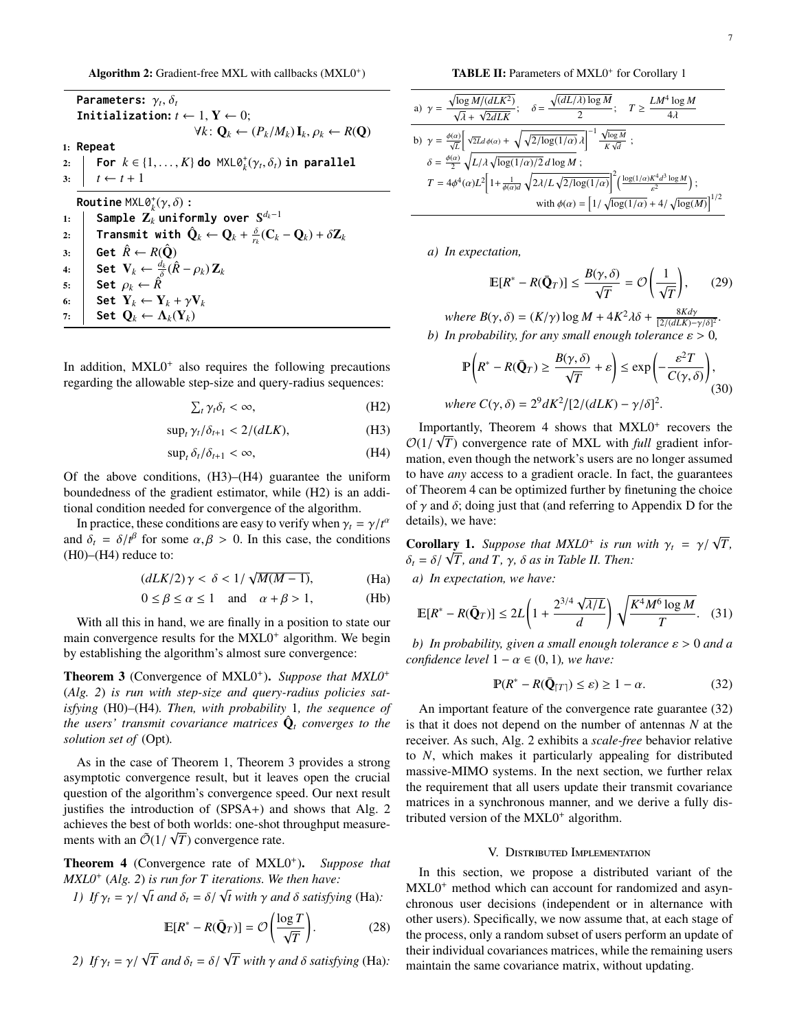<span id="page-6-1"></span>Algorithm 2: Gradient-free MXL with callbacks (MXL0<sup>+</sup>)

|    | <b>Parameters:</b> $\gamma_t$ , $\delta_t$                                                                                                         |  |  |  |  |
|----|----------------------------------------------------------------------------------------------------------------------------------------------------|--|--|--|--|
|    | Initialization: $t \leftarrow 1, Y \leftarrow 0$ ;                                                                                                 |  |  |  |  |
|    | $\forall k: \mathbf{Q}_k \leftarrow (P_k/M_k) \mathbf{I}_k, \rho_k \leftarrow R(\mathbf{Q})$                                                       |  |  |  |  |
|    | $1:$ Repeat                                                                                                                                        |  |  |  |  |
|    | 2: <b>For</b> $k \in \{1, , K\}$ do $MXL\theta_k^+(\gamma_t, \delta_t)$ in parallel<br>3: $t \leftarrow t + 1$                                     |  |  |  |  |
|    |                                                                                                                                                    |  |  |  |  |
|    | <b>Routine</b> MXL $\theta_t^*(\gamma, \delta)$ :                                                                                                  |  |  |  |  |
| 1: | Sample $\mathbf{Z}_k$ uniformly over $\mathbb{S}^{d_k-1}$                                                                                          |  |  |  |  |
| 2: | <b>Transmit with <math>\hat{\mathbf{Q}}_k \leftarrow \mathbf{Q}_k + \frac{\delta}{n}(\mathbf{C}_k - \mathbf{Q}_k) + \delta \mathbf{Z}_k</math></b> |  |  |  |  |
| 3: | Get $\hat{R} \leftarrow R(\hat{Q})$                                                                                                                |  |  |  |  |
| 4: | Set $\mathbf{V}_k \leftarrow \frac{d_k}{\delta} (\hat{R} - \rho_k) \mathbf{Z}_k$                                                                   |  |  |  |  |
| 5: | Set $\rho_k \leftarrow \hat{R}$                                                                                                                    |  |  |  |  |
| 6: | Set $Y_k \leftarrow Y_k + \gamma V_k$                                                                                                              |  |  |  |  |
| 7: | Set $\mathbf{O}_k \leftarrow \Lambda_k(\mathbf{Y}_k)$                                                                                              |  |  |  |  |

In addition, MXL0<sup>+</sup> also requires the following precautions regarding the allowable step-size and query-radius sequences:

$$
\sum_{t} \gamma_t \delta_t < \infty,\tag{H2}
$$

 $\sup_t \gamma_t / \delta_{t+1} < 2 / (dLK),$  (H3)

$$
\sup_{t} \delta_{t} / \delta_{t+1} < \infty,\tag{H4}
$$

Of the above conditions, [\(H3\)](#page-6-2)–[\(H4\)](#page-6-3) guarantee the uniform boundedness of the gradient estimator, while [\(H2\)](#page-6-4) is an additional condition needed for convergence of the algorithm.

In practice, these conditions are easy to verify when  $\gamma_t = \gamma/t^{\alpha}$ <br>  $d\delta = \delta/t^{\beta}$  for some  $\alpha, \beta > 0$ . In this case, the conditions and  $\delta_t = \delta / t^{\beta}$  for some  $\alpha, \beta > 0$ . In this case, the conditions (H0) (H4) reduce to:  $(H0)$ – $(H4)$  reduce to:

$$
\left(dLK/2\right)\gamma < \delta < 1/\sqrt{M(M-1)},\tag{Ha}
$$

$$
0 \le \beta \le \alpha \le 1 \quad \text{and} \quad \alpha + \beta > 1,\tag{Hb}
$$

With all this in hand, we are finally in a position to state our main convergence results for the MXL0<sup>+</sup> algorithm. We begin by establishing the algorithm's almost sure convergence:

<span id="page-6-5"></span>Theorem 3 (Convergence of MXL0<sup>+</sup>). Suppose that MXL0<sup>+</sup> (*[Alg. 2](#page-6-1)*) *is run with step-size and query-radius policies satisfying* [\(H0\)](#page-4-6)*–*[\(H4\)](#page-6-3)*. Then, with probability* 1*, the sequence of the users' transmit covariance matrices*  $\hat{\mathbf{Q}}_t$  *converges to the solution set of* [\(Opt\)](#page-2-2)*.*

As in the case of [Theorem 1,](#page-5-1) [Theorem 3](#page-6-5) provides a strong asymptotic convergence result, but it leaves open the crucial question of the algorithm's convergence speed. Our next result justifies the introduction of [\(SPSA](#page-5-4)+) and shows that [Alg. 2](#page-6-1) achieves the best of both worlds: one-shot throughput measurements with an  $\tilde{\mathcal{O}}(1/\sqrt{T})$  convergence rate.

<span id="page-6-10"></span>Theorem 4 (Convergence rate of MXL0<sup>+</sup>). Suppose that *MXL0*<sup>+</sup> (*[Alg. 2](#page-6-1)*) *is run for T iterations. We then have:*<br> *1) If*  $\gamma_t = \gamma / \sqrt{t}$  *and*  $\delta_t = \delta / \sqrt{t}$  *with*  $\gamma$  *and*  $\delta$  *satisfyin* 

<span id="page-6-15"></span>1) If 
$$
\gamma_t = \gamma / \sqrt{t}
$$
 and  $\delta_t = \delta / \sqrt{t}$  with  $\gamma$  and  $\delta$  satisfying (Ha):

<span id="page-6-16"></span>
$$
\mathbb{E}[R^* - R(\bar{\mathbf{Q}}_T)] = \mathcal{O}\left(\frac{\log T}{\sqrt{T}}\right). \tag{28}
$$

<span id="page-6-18"></span><span id="page-6-17"></span>*2) If*  $\gamma_t = \gamma / \sqrt{T}$  *and*  $\delta_t = \delta / \sqrt{T}$  *with*  $\gamma$  *and*  $\delta$  *satisfying* [\(Ha\)](#page-6-6)*:* 

TABLE II: Parameters of MXL0<sup>+</sup> for [Corollary 1](#page-6-7)

<span id="page-6-11"></span>a) 
$$
\gamma = \frac{\sqrt{\log M/(dLK^2)}}{\sqrt{\lambda} + \sqrt{2dLK}};
$$
  $\delta = \frac{\sqrt{(dL/\lambda)\log M}}{2};$   $T \ge \frac{LM^4 \log M}{4\lambda}$   
\nb)  $\gamma = \frac{\phi(\alpha)}{\sqrt{L}} \left[ \sqrt{2Ld}\phi(\alpha) + \sqrt{\sqrt{2/\log(1/\alpha)}\lambda} \right]^{-1} \frac{\sqrt{\log M}}{K\sqrt{d}};$   
\n $\delta = \frac{\phi(\alpha)}{2} \sqrt{L/\lambda} \sqrt{\log(1/\alpha)/2} d \log M;$   
\n $T = 4\phi^4(\alpha)L^2 \left[ 1 + \frac{1}{\phi(\alpha)d} \sqrt{2\lambda/L} \sqrt{2/\log(1/\alpha)} \right]^2 \left( \frac{\log(1/\alpha)K^4d^3 \log M}{\epsilon^2} \right);$   
\nwith  $\phi(\alpha) = \left[ 1/\sqrt{\log(1/\alpha)} + 4/\sqrt{\log(M)} \right]^{1/2}$ 

*a) In expectation,*

<span id="page-6-13"></span>
$$
\mathbb{E}[R^* - R(\bar{\mathbf{Q}}_T)] \le \frac{B(\gamma, \delta)}{\sqrt{T}} = \mathcal{O}\left(\frac{1}{\sqrt{T}}\right),\qquad(29)
$$

<span id="page-6-19"></span>*where*  $B(\gamma, \delta) = (K/\gamma) \log M + 4K^2 \lambda \delta + \frac{8K d\gamma}{[2/(dLK)-1]}$  $\frac{8Kay}{[2/(dLK)-\gamma/\delta]^2}$ . *b*) *In probability, for any small enough tolerance*  $\varepsilon > 0$ *,* 

<span id="page-6-14"></span>
$$
\mathbb{P}\left(R^* - R(\bar{\mathbf{Q}}_T) \ge \frac{B(\gamma, \delta)}{\sqrt{T}} + \varepsilon\right) \le \exp\left(-\frac{\varepsilon^2 T}{C(\gamma, \delta)}\right),
$$
  
where  $C(\gamma, \delta) = 2^9 dK^2 / [2/(dLK) - \gamma/\delta]^2$ . (30)

<span id="page-6-4"></span><span id="page-6-3"></span><span id="page-6-2"></span>Importantly, [Theorem 4](#page-6-10) shows that  $MXL0^+$  recovers the  $\mathcal{O}(1/\sqrt{T})$  convergence rate of MXL with *full* gradient infor-<br>mation even though the network's users are no longer assumed mation, even though the network's users are no longer assumed to have *any* access to a gradient oracle. In fact, the guarantees of [Theorem 4](#page-6-10) can be optimized further by finetuning the choice of  $\gamma$  and  $\delta$ ; doing just that (and referring to [Appendix D](#page-13-0) for the details), we have:

<span id="page-6-7"></span>**Corollary 1.** *Suppose that MXL0<sup>+</sup> is run with*  $\gamma_t = \gamma / \sqrt{T}$ ,<br> $\delta = \delta / \sqrt{T}$  and  $T$   $\gamma / \delta$  as in Table II Then: **Corollary 1.** Suppose that MXLO' is run  $\delta_t = \delta / \sqrt{T}$ , and T,  $\gamma$ ,  $\delta$  as in [Table II.](#page-6-11) Then:

<span id="page-6-8"></span><span id="page-6-6"></span>*a) In expectation, we have:*

$$
\mathbb{E}[R^* - R(\bar{\mathbf{Q}}_T)] \le 2L\left(1 + \frac{2^{3/4}\sqrt{\lambda/L}}{d}\right)\sqrt{\frac{K^4M^6\log M}{T}}.\quad(31)
$$

<span id="page-6-9"></span>*b*) *In probability, given a small enough tolerance*  $\varepsilon > 0$  *and a confidence level*  $1 - \alpha \in (0, 1)$ *, we have:* 

<span id="page-6-12"></span>
$$
\mathbb{P}(R^* - R(\bar{\mathbf{Q}}_{[T]}) \le \varepsilon) \ge 1 - \alpha. \tag{32}
$$

An important feature of the convergence rate guarantee [\(32\)](#page-6-12) is that it does not depend on the number of antennas *N* at the receiver. As such, [Alg. 2](#page-6-1) exhibits a *scale-free* behavior relative to *N*, which makes it particularly appealing for distributed massive-MIMO systems. In the next section, we further relax the requirement that all users update their transmit covariance matrices in a synchronous manner, and we derive a fully distributed version of the MXL0<sup>+</sup> algorithm.

# V. Distributed Implementation

<span id="page-6-0"></span>In this section, we propose a distributed variant of the MXL0<sup>+</sup> method which can account for randomized and asynchronous user decisions (independent or in alternance with other users). Specifically, we now assume that, at each stage of the process, only a random subset of users perform an update of their individual covariances matrices, while the remaining users maintain the same covariance matrix, without updating.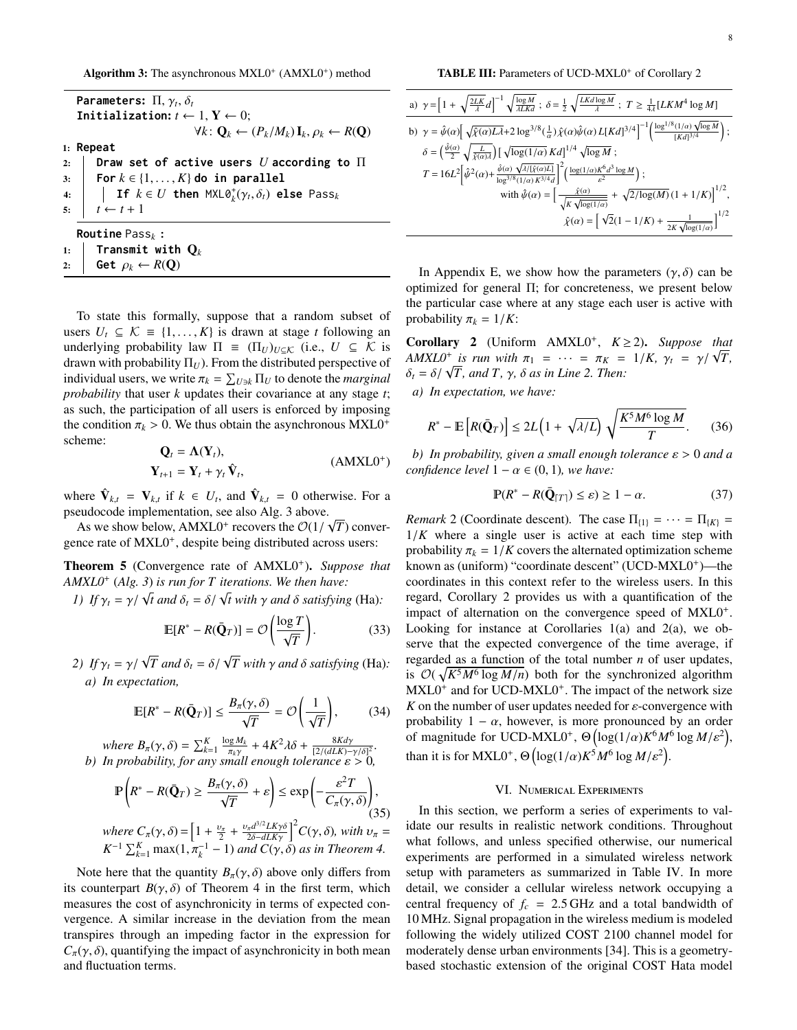<span id="page-7-1"></span>Algorithm 3: The asynchronous  $MXL0<sup>+</sup> (AMXL0<sup>+</sup>)$  method

| Parameters: $\Pi, \gamma_t, \delta_t$                                                                                 |  |  |  |  |  |
|-----------------------------------------------------------------------------------------------------------------------|--|--|--|--|--|
| Initialization: $t \leftarrow 1, Y \leftarrow 0$ ;                                                                    |  |  |  |  |  |
| $\forall k: \mathbf{Q}_k \leftarrow (P_k/M_k) \mathbf{I}_k, \rho_k \leftarrow R(\mathbf{Q})$                          |  |  |  |  |  |
| $1:$ Repeat                                                                                                           |  |  |  |  |  |
| 2:   Draw set of active users $U$ according to $\Pi$                                                                  |  |  |  |  |  |
| 3:   For $k \in \{1, \ldots, K\}$ do in parallel                                                                      |  |  |  |  |  |
| 4: $\parallel$ <b>If</b> $k \in U$ then $\textsf{MXL}\partial_k^{\dagger}(\gamma_t, \delta_t)$ else Pass <sub>k</sub> |  |  |  |  |  |
| 5:<br>$t \leftarrow t + 1$                                                                                            |  |  |  |  |  |
| <b>Routine</b> Pass <sub>k</sub> :                                                                                    |  |  |  |  |  |
| 1: Transmit with $\mathbf{Q}_k$                                                                                       |  |  |  |  |  |

2: **Get**  $\rho_k \leftarrow R(\mathbf{Q})$ 

To state this formally, suppose that a random subset of users  $U_t$  ⊆  $K$  ≡ {1,..., K} is drawn at stage *t* following an underlying probability law  $\Pi = (\Pi_U)_{U \subseteq \mathcal{K}}$  (i.e.,  $U \subseteq \mathcal{K}$  is drawn with probability  $\Pi_U$ ). From the distributed perspective of individual users, we write  $\pi_k = \sum_{U \ni k} \Pi_U$  to denote the *marginal*<br>*probability* that user k undates their covariance at any stage t *probability* that user *k* updates their covariance at any stage *t*; as such, the participation of all users is enforced by imposing the condition  $\pi_k > 0$ . We thus obtain the asynchronous MXL0<sup>+</sup> scheme: scheme:

$$
\mathbf{Q}_t = \mathbf{\Lambda}(\mathbf{Y}_t), \n\mathbf{Y}_{t+1} = \mathbf{Y}_t + \gamma_t \hat{\mathbf{V}}_t,
$$
\n(AMXL0<sup>+</sup>)

where  $\hat{\mathbf{V}}_{k,t} = \mathbf{V}_{k,t}$  if  $k \in U_t$ , and  $\hat{\mathbf{V}}_{k,t} = 0$  otherwise. For a pseudocode implementation, see also [Alg. 3](#page-7-1) above. √

As we show below,  $AMXLO^+$  recovers the  $\mathcal{O}(1)$ <br>nce rate of MXI 0<sup>+</sup> despite being distributed ac *T*) convergence rate of MXL0<sup>+</sup>, despite being distributed across users:

<span id="page-7-7"></span>Theorem 5 (Convergence rate of AMXL0<sup>+</sup> ). *Suppose that AMXL0*<sup>+</sup> (*[Alg. 3](#page-7-1)*) *is run for T iterations. We then have:*

*I*) *If*  $\gamma_t = \gamma / \sqrt{t}$  *and*  $\delta_t = \delta / \sqrt{t}$  *with*  $\gamma$  *and*  $\delta$  *satisfying* [\(Ha\)](#page-6-6):

$$
\mathbb{E}[R^* - R(\bar{\mathbf{Q}}_T)] = \mathcal{O}\left(\frac{\log T}{\sqrt{T}}\right). \tag{33}
$$

*2) If*  $\gamma_t = \gamma / \sqrt{T}$  *and*  $\delta_t = \delta / \sqrt{T}$  *with*  $\gamma$  *and*  $\delta$  *satisfying* [\(Ha\)](#page-6-6)*: a) In expectation,*

$$
\mathbb{E}[R^* - R(\bar{\mathbf{Q}}_T)] \le \frac{B_\pi(\gamma, \delta)}{\sqrt{T}} = \mathcal{O}\left(\frac{1}{\sqrt{T}}\right),\tag{34}
$$

*where*  $B_{\pi}(\gamma, \delta) = \sum_{k=1}^{K} \frac{\log M_k}{\pi_k \gamma}$ <br>*In probability for any small*  $\frac{\partial g M_k}{\partial x_k y} + 4K^2 \lambda \delta + \frac{8K d\gamma}{[2/(d L K) -]}$ <br>mall enough tolerance s *m*<br>
(2/(*dLK*)−γ/δ]<sup>2</sup><br> *rance* ε > 0 *b) In probability, for any small enough tolerance* ε > <sup>0</sup>*,*

$$
\mathbb{P}\left(R^* - R(\bar{\mathbf{Q}}_T) \ge \frac{B_\pi(\gamma, \delta)}{\sqrt{T}} + \varepsilon\right) \le \exp\left(-\frac{\varepsilon^2 T}{C_\pi(\gamma, \delta)}\right),\tag{35}
$$
  
\nwhere  $C_\pi(\gamma, \delta) = \left[1 + \frac{\nu_\pi}{2} + \frac{\nu_\pi d^{3/2} L K \gamma \delta}{2\delta - d L K \gamma}\right]^2 C(\gamma, \delta)$ , with  $\nu_\pi = K^{-1} \sum_{k=1}^K \max(1, \pi_k^{-1} - 1)$  and  $C(\gamma, \delta)$  as in Theorem 4.

Note here that the quantity  $B_\pi(\gamma, \delta)$  above only differs from its counterpart  $B(\gamma, \delta)$  of [Theorem 4](#page-6-10) in the first term, which measures the cost of asynchronicity in terms of expected convergence. A similar increase in the deviation from the mean transpires through an impeding factor in the expression for  $C_{\pi}(\gamma, \delta)$ , quantifying the impact of asynchronicity in both mean and fluctuation terms.

TABLE III: Parameters of UCD-MXL0<sup>+</sup> of Corollary [2](#page-7-2)

<span id="page-7-5"></span>a) 
$$
\gamma = \left[1 + \sqrt{\frac{2LK}{\lambda}}d\right]^{-1} \sqrt{\frac{\log M}{\lambda L K d}}; \ \delta = \frac{1}{2} \sqrt{\frac{LK d \log M}{\lambda}}; \ T \geq \frac{1}{4\lambda} [LK M^4 \log M]
$$
  
\nb)  $\gamma = \hat{\psi}(\alpha) \left[ \sqrt{\hat{\chi}(\alpha)L\lambda} + 2 \log^{3/8}(\frac{1}{\alpha}) \hat{\chi}(\alpha) \hat{\psi}(\alpha) L[K d]^{3/4} \right]^{-1} \left( \frac{\log^{1/8} (1/\alpha) \sqrt{\log M}}{[K d]^{3/4}} \right);$   
\n $\delta = \left(\frac{\hat{\psi}(\alpha)}{2} \sqrt{\frac{L}{\hat{\chi}(\alpha)\lambda}}\right) \left[ \sqrt{\log(1/\alpha)} K d\right]^{1/4} \sqrt{\log M};$   
\n $T = 16L^2 \left[ \hat{\psi}^2(\alpha) + \frac{\hat{\psi}(\alpha)}{\log^{3/8} (1/\alpha) K^{3/4} d} \right]^2 \left( \frac{\log(1/\alpha) K^6 d^3 \log M}{\epsilon^2} \right);$   
\nwith  $\hat{\psi}(\alpha) = \left[ \frac{\hat{\chi}(\alpha)}{\sqrt{K} \sqrt{\log(1/\alpha)}} + \sqrt{2/\log(M)} (1 + 1/K) \right]^{1/2},$   
\n $\hat{\chi}(\alpha) = \left[ \sqrt{2}(1 - 1/K) + \frac{1}{2K \sqrt{\log(1/\alpha)}} \right]^{1/2}$ 

In [Appendix E,](#page-14-16) we show how the parameters  $(\gamma, \delta)$  can be optimized for general Π; for concreteness, we present below the particular case where at any stage each user is active with probability  $\pi_k = 1/K$ :

<span id="page-7-2"></span>Corollary 2 (Uniform AMXL0<sup>+</sup> , *K* ≥ 2). *Suppose that AMXL0<sup>+</sup> is run with*  $\pi_1 = \cdots = \pi_K = 1/K$ ,  $\gamma_t = \gamma/\sqrt{T}$ ,<br>  $\delta = \delta/\sqrt{T}$  and  $T \gamma \delta$  as in Line 2. Then:  $\delta_t = \delta / \sqrt{T}$ , and T,  $\gamma$ ,  $\delta$  as in [Line 2.](#page-7-5) Then:

<span id="page-7-3"></span>*a) In expectation, we have:*

$$
R^* - \mathbb{E}\left[R(\bar{\mathbf{Q}}_T)\right] \le 2L\left(1 + \sqrt{\lambda/L}\right)\sqrt{\frac{K^5 M^6 \log M}{T}}.\tag{36}
$$

<span id="page-7-8"></span><span id="page-7-4"></span>*b*) *In probability, given a small enough tolerance*  $\varepsilon > 0$  *and a confidence level*  $1 - \alpha \in (0, 1)$ *, we have:* 

$$
\mathbb{P}(R^* - R(\bar{\mathbf{Q}}_{[T]}) \le \varepsilon) \ge 1 - \alpha. \tag{37}
$$

<span id="page-7-6"></span>*Remark* 2 (Coordinate descent). The case  $\Pi_{\{1\}} = \cdots = \Pi_{\{K\}} =$ <sup>1</sup>/*<sup>K</sup>* where a single user is active at each time step with probability  $\pi_k = 1/K$  covers the alternated optimization scheme known as (uniform) "coordinate descent" (UCD-MXL0+)—the coordinates in this context refer to the wireless users. In this regard, Corollary [2](#page-7-2) provides us with a quantification of the impact of alternation on the convergence speed of MXL0<sup>+</sup>. Looking for instance at Corollaries [1](#page-6-7)[\(a\)](#page-6-8) and [2](#page-7-2)[\(a\)](#page-7-3), we observe that the expected convergence of the time average, if regarded as a function of the total number *n* of user updates, is  $\mathcal{O}(\sqrt{K^5M^6 \log M/n})$  both for the synchronized algorithm<br>MXI 0<sup>+</sup> and for UCD-MXI 0<sup>+</sup>. The impact of the network size MXL0<sup>+</sup> and for UCD-MXL0<sup>+</sup>. The impact of the network size  $K$  on the number of user updates needed for  $\varepsilon$ -convergence with probability  $1 - \alpha$ , however, is more pronounced by an order of magnitude for UCD-MXL0<sup>+</sup>,  $\Theta(\log(1/\alpha)K^6M^6\log M/\varepsilon^2)$ , than it is for MXL0<sup>+</sup>,  $\Theta\left(\log(1/\alpha)K^5M^6\log M/\varepsilon^2\right)$ .

#### VI. Numerical Experiments

<span id="page-7-0"></span>In this section, we perform a series of experiments to validate our results in realistic network conditions. Throughout what follows, and unless specified otherwise, our numerical experiments are performed in a simulated wireless network setup with parameters as summarized in [Table IV.](#page-8-0) In more detail, we consider a cellular wireless network occupying a central frequency of  $f_c = 2.5$  GHz and a total bandwidth of 10 MHz. Signal propagation in the wireless medium is modeled following the widely utilized COST 2100 channel model for moderately dense urban environments [\[34\]](#page-15-15). This is a geometrybased stochastic extension of the original COST Hata model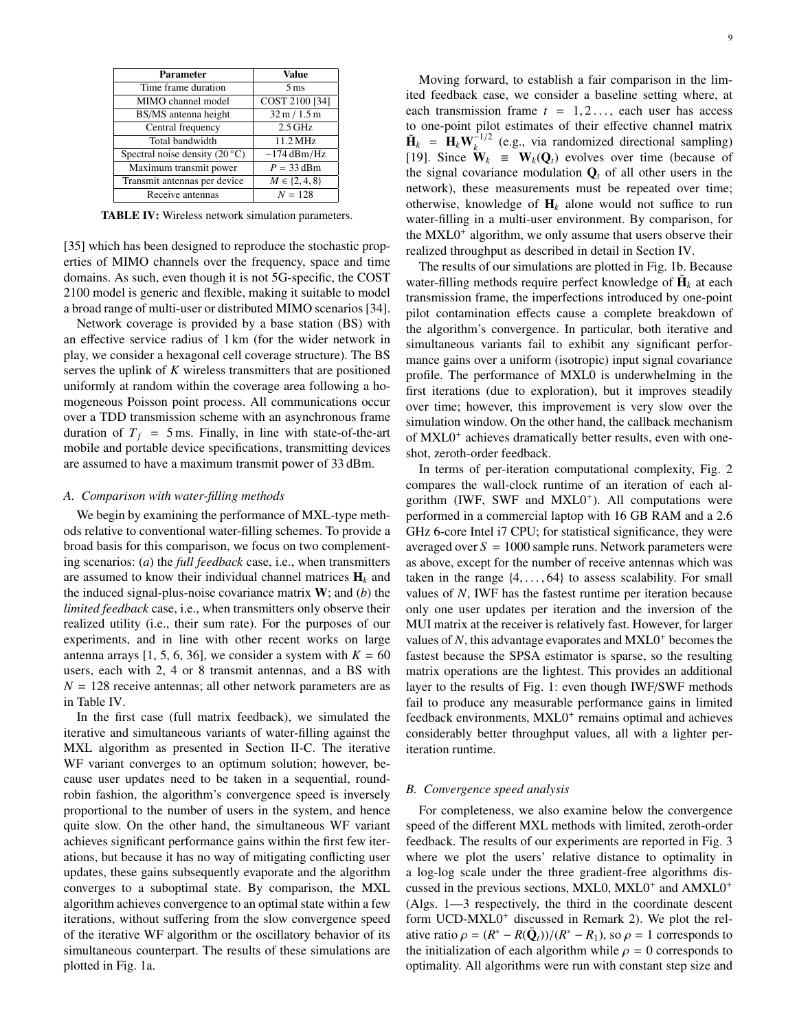<span id="page-8-0"></span>

| Parameter                              | Value               |
|----------------------------------------|---------------------|
| Time frame duration                    | 5 <sub>ms</sub>     |
| MIMO channel model                     | COST 2100 [34]      |
| BS/MS antenna height                   | 32 m / 1.5 m        |
| Central frequency                      | $2.5$ GHz           |
| Total bandwidth                        | 11.2 MHz            |
| Spectral noise density $(20^{\circ}C)$ | $-174$ dBm/Hz       |
| Maximum transmit power                 | $P = 33$ dBm        |
| Transmit antennas per device           | $M \in \{2, 4, 8\}$ |
| Receive antennas                       | $N = 128$           |

TABLE IV: Wireless network simulation parameters.

[\[35\]](#page-15-16) which has been designed to reproduce the stochastic properties of MIMO channels over the frequency, space and time domains. As such, even though it is not 5G-specific, the COST 2100 model is generic and flexible, making it suitable to model a broad range of multi-user or distributed MIMO scenarios [\[34\]](#page-15-15).

Network coverage is provided by a base station (BS) with an effective service radius of 1 km (for the wider network in play, we consider a hexagonal cell coverage structure). The BS serves the uplink of *K* wireless transmitters that are positioned uniformly at random within the coverage area following a homogeneous Poisson point process. All communications occur over a TDD transmission scheme with an asynchronous frame duration of  $T_f$  = 5 ms. Finally, in line with state-of-the-art mobile and portable device specifications, transmitting devices are assumed to have a maximum transmit power of 33 dBm.

#### *A. Comparison with water-filling methods*

We begin by examining the performance of MXL-type methods relative to conventional water-filling schemes. To provide a broad basis for this comparison, we focus on two complementing scenarios: (*a*) the *full feedback* case, i.e., when transmitters are assumed to know their individual channel matrices  $H_k$  and the induced signal-plus-noise covariance matrix W; and (*b*) the *limited feedback* case, i.e., when transmitters only observe their realized utility (i.e., their sum rate). For the purposes of our experiments, and in line with other recent works on large antenna arrays [\[1,](#page-14-0) [5,](#page-14-4) [6,](#page-14-5) [36\]](#page-15-17), we consider a system with  $K = 60$ users, each with 2, 4 or 8 transmit antennas, and a BS with  $N = 128$  receive antennas; all other network parameters are as in [Table IV.](#page-8-0)

In the first case (full matrix feedback), we simulated the iterative and simultaneous variants of water-filling against the MXL algorithm as presented in [Section II-C.](#page-3-3) The iterative WF variant converges to an optimum solution; however, because user updates need to be taken in a sequential, roundrobin fashion, the algorithm's convergence speed is inversely proportional to the number of users in the system, and hence quite slow. On the other hand, the simultaneous WF variant achieves significant performance gains within the first few iterations, but because it has no way of mitigating conflicting user updates, these gains subsequently evaporate and the algorithm converges to a suboptimal state. By comparison, the MXL algorithm achieves convergence to an optimal state within a few iterations, without suffering from the slow convergence speed of the iterative WF algorithm or the oscillatory behavior of its simultaneous counterpart. The results of these simulations are plotted in [Fig. 1a.](#page-9-0)

Moving forward, to establish a fair comparison in the limited feedback case, we consider a baseline setting where, at each transmission frame  $t = 1, 2, \ldots$ , each user has access to one-point pilot estimates of their effective channel matrix  $\tilde{\mathbf{H}}_k = \mathbf{H}_k \mathbf{W}_k^{-1/2}$  (e.g., via randomized directional sampling) [\[19\]](#page-15-0). Since  $\mathbf{\hat{W}}_k \equiv \mathbf{W}_k(\mathbf{Q}_t)$  evolves over time (because of the signal covariance modulation  $Q_t$  of all other users in the network), these measurements must be repeated over time; otherwise, knowledge of  $H_k$  alone would not suffice to run water-filling in a multi-user environment. By comparison, for the MXL0<sup>+</sup> algorithm, we only assume that users observe their realized throughput as described in detail in [Section IV.](#page-5-5)

The results of our simulations are plotted in [Fig. 1b.](#page-9-0) Because water-filling methods require perfect knowledge of  $\tilde{\mathbf{H}}_k$  at each transmission frame, the imperfections introduced by one-point pilot contamination effects cause a complete breakdown of the algorithm's convergence. In particular, both iterative and simultaneous variants fail to exhibit any significant performance gains over a uniform (isotropic) input signal covariance profile. The performance of MXL0 is underwhelming in the first iterations (due to exploration), but it improves steadily over time; however, this improvement is very slow over the simulation window. On the other hand, the callback mechanism of MXL0<sup>+</sup> achieves dramatically better results, even with oneshot, zeroth-order feedback.

In terms of per-iteration computational complexity, [Fig. 2](#page-9-1) compares the wall-clock runtime of an iteration of each algorithm (IWF, SWF and MXL0<sup>+</sup>). All computations were performed in a commercial laptop with 16 GB RAM and a 2.6 GHz 6-core Intel i7 CPU; for statistical significance, they were averaged over  $S = 1000$  sample runs. Network parameters were as above, except for the number of receive antennas which was taken in the range  $\{4, \ldots, 64\}$  to assess scalability. For small values of *N*, IWF has the fastest runtime per iteration because only one user updates per iteration and the inversion of the MUI matrix at the receiver is relatively fast. However, for larger values of *N*, this advantage evaporates and MXL0<sup>+</sup> becomes the fastest because the SPSA estimator is sparse, so the resulting matrix operations are the lightest. This provides an additional layer to the results of [Fig. 1:](#page-9-0) even though IWF/SWF methods fail to produce any measurable performance gains in limited feedback environments, MXL0<sup>+</sup> remains optimal and achieves considerably better throughput values, all with a lighter periteration runtime.

#### *B. Convergence speed analysis*

For completeness, we also examine below the convergence speed of the different MXL methods with limited, zeroth-order feedback. The results of our experiments are reported in [Fig. 3](#page-9-2) where we plot the users' relative distance to optimality in a log-log scale under the three gradient-free algorithms discussed in the previous sections, MXL0, MXL0<sup>+</sup> and AMXL0<sup>+</sup> [\(Algs. 1—](#page-5-0)[3](#page-7-1) respectively, the third in the coordinate descent form UCD-MXL0<sup>+</sup> discussed in [Remark 2\)](#page-7-6). We plot the relative ratio  $\rho = (R^* - R(\bar{Q}_t))/(R^* - R_1)$ , so  $\rho = 1$  corresponds to the initialization of each algorithm while  $\rho = 0$  corresponds to the initialization of each algorithm while  $\rho = 0$  corresponds to optimality. All algorithms were run with constant step size and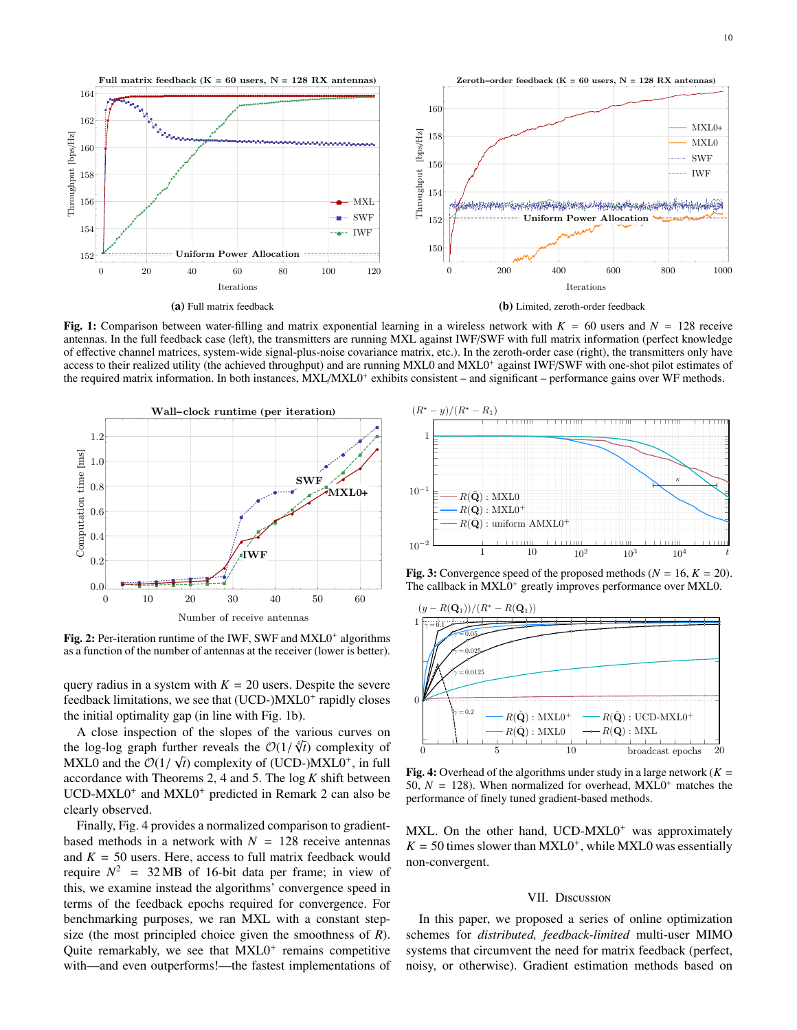<span id="page-9-0"></span>

Fig. 1: Comparison between water-filling and matrix exponential learning in a wireless network with  $K = 60$  users and  $N = 128$  receive antennas. In the full feedback case (left), the transmitters are running MXL against IWF/SWF with full matrix information (perfect knowledge of effective channel matrices, system-wide signal-plus-noise covariance matrix, etc.). In the zeroth-order case (right), the transmitters only have access to their realized utility (the achieved throughput) and are running MXL0 and MXL0<sup>+</sup> against IWF/SWF with one-shot pilot estimates of the required matrix information. In both instances, MXL/MXL0<sup>+</sup> exhibits consistent – and significant – performance gains over WF methods.

<span id="page-9-1"></span>

Fig. 2: Per-iteration runtime of the IWF, SWF and MXL0<sup>+</sup> algorithms as a function of the number of antennas at the receiver (lower is better).

query radius in a system with  $K = 20$  users. Despite the severe feedback limitations, we see that (UCD-)MXL0<sup>+</sup> rapidly closes the initial optimality gap (in line with [Fig. 1b\)](#page-9-0).

A close inspection of the slopes of the various curves on the log-log graph further reveals the  $\mathcal{O}(1/\sqrt{t})$  complexity of (UC) The stopes of the various curves on<br>ther reveals the  $O(1/\sqrt[4]{t})$  complexity of MXL0 and the  $\mathcal{O}(1/\sqrt{t})$  complexity of (UCD-)MXL0<sup>+</sup>, in full accordance with Theorems 2.4 and 5. The log K shift between accordance with [Theorems 2,](#page-5-2) [4](#page-6-10) and [5.](#page-7-7) The log *K* shift between UCD-MXL0<sup>+</sup> and MXL0<sup>+</sup> predicted in [Remark 2](#page-7-6) can also be clearly observed.

Finally, [Fig. 4](#page-9-3) provides a normalized comparison to gradientbased methods in a network with  $N = 128$  receive antennas and  $K = 50$  users. Here, access to full matrix feedback would require  $N^2$  = 32 MB of 16-bit data per frame; in view of this, we examine instead the algorithms' convergence speed in terms of the feedback epochs required for convergence. For benchmarking purposes, we ran MXL with a constant stepsize (the most principled choice given the smoothness of *R*). Quite remarkably, we see that MXL0<sup>+</sup> remains competitive with—and even outperforms!—the fastest implementations of

<span id="page-9-2"></span>

**Fig. 3:** Convergence speed of the proposed methods ( $N = 16$ ,  $K = 20$ ). The callback in MXL0<sup>+</sup> greatly improves performance over MXL0.

<span id="page-9-3"></span>

Fig. 4: Overhead of the algorithms under study in a large network  $(K =$ 50,  $N = 128$ ). When normalized for overhead,  $MXL0<sup>+</sup>$  matches the performance of finely tuned gradient-based methods.

MXL. On the other hand, UCD-MXL0<sup>+</sup> was approximately  $K = 50$  times slower than MXL0<sup>+</sup>, while MXL0 was essentially non-convergent.

# VII. Discussion

In this paper, we proposed a series of online optimization schemes for *distributed, feedback-limited* multi-user MIMO systems that circumvent the need for matrix feedback (perfect, noisy, or otherwise). Gradient estimation methods based on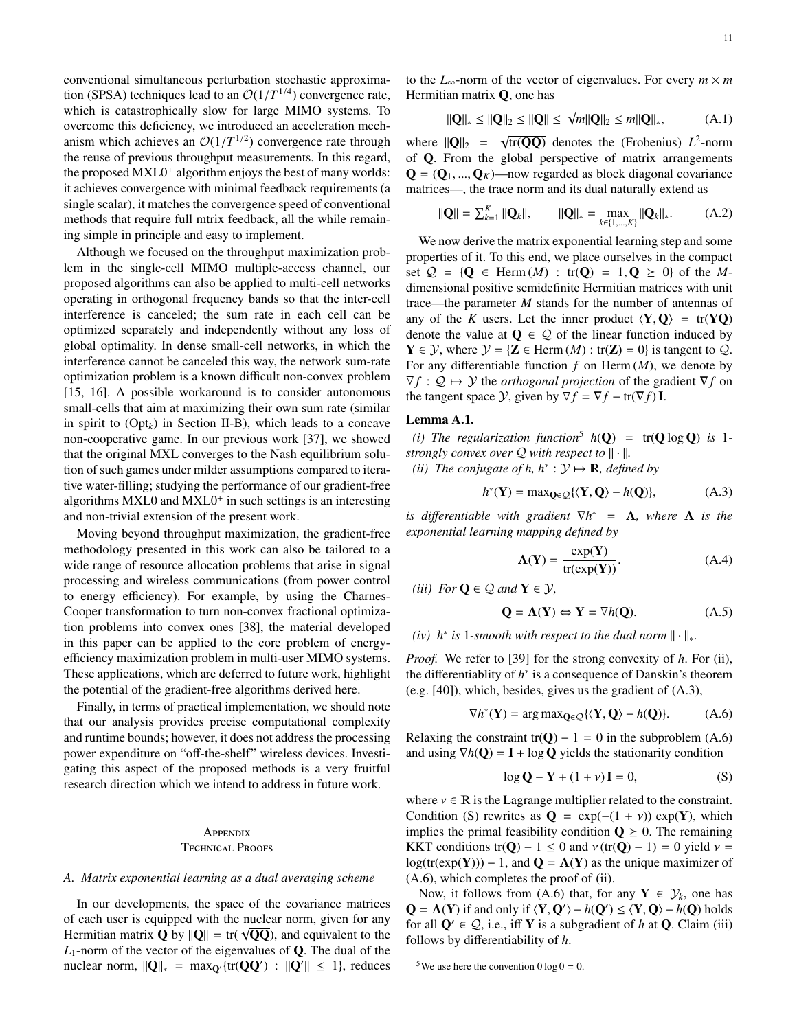conventional simultaneous perturbation stochastic approximation (SPSA) techniques lead to an  $\mathcal{O}(1/T^{1/4})$  convergence rate,<br>which is catastrophically slow for large MIMO systems. To which is catastrophically slow for large MIMO systems. To overcome this deficiency, we introduced an acceleration mechanism which achieves an  $\mathcal{O}(1/T^{1/2})$  convergence rate through<br>the reuse of previous throughput measurements. In this regard the reuse of previous throughput measurements. In this regard, the proposed MXL0<sup>+</sup> algorithm enjoys the best of many worlds: it achieves convergence with minimal feedback requirements (a single scalar), it matches the convergence speed of conventional methods that require full mtrix feedback, all the while remaining simple in principle and easy to implement.

Although we focused on the throughput maximization problem in the single-cell MIMO multiple-access channel, our proposed algorithms can also be applied to multi-cell networks operating in orthogonal frequency bands so that the inter-cell interference is canceled; the sum rate in each cell can be optimized separately and independently without any loss of global optimality. In dense small-cell networks, in which the interference cannot be canceled this way, the network sum-rate optimization problem is a known difficult non-convex problem [\[15,](#page-14-11) [16\]](#page-14-12). A possible workaround is to consider autonomous small-cells that aim at maximizing their own sum rate (similar in spirit to  $(Opt<sub>k</sub>)$  $(Opt<sub>k</sub>)$  in [Section II-B\)](#page-2-4), which leads to a concave non-cooperative game. In our previous work [\[37\]](#page-15-18), we showed that the original MXL converges to the Nash equilibrium solution of such games under milder assumptions compared to iterative water-filling; studying the performance of our gradient-free algorithms MXL0 and MXL0<sup>+</sup> in such settings is an interesting and non-trivial extension of the present work.

Moving beyond throughput maximization, the gradient-free methodology presented in this work can also be tailored to a wide range of resource allocation problems that arise in signal processing and wireless communications (from power control to energy efficiency). For example, by using the Charnes-Cooper transformation to turn non-convex fractional optimization problems into convex ones [\[38\]](#page-15-19), the material developed in this paper can be applied to the core problem of energyefficiency maximization problem in multi-user MIMO systems. These applications, which are deferred to future work, highlight the potential of the gradient-free algorithms derived here.

Finally, in terms of practical implementation, we should note that our analysis provides precise computational complexity and runtime bounds; however, it does not address the processing power expenditure on "off-the-shelf" wireless devices. Investigating this aspect of the proposed methods is a very fruitful research direction which we intend to address in future work.

# **APPENDIX** Technical Proofs

#### <span id="page-10-0"></span>*A. Matrix exponential learning as a dual averaging scheme*

In our developments, the space of the covariance matrices of each user is equipped with the nuclear norm, given for any or each user is equipped with the fluctear florm, given for any Hermitian matrix **Q** by  $\|Q\| = \text{tr}(\sqrt{QQ})$ , and equivalent to the  $L_1$ -norm of the vector of the eigenvalues of  $Q$ . The dual of the nuclear norm,  $||\mathbf{Q}||_* = \max_{\mathbf{Q}'} {\rm{tr}}(\mathbf{QQ}') : ||\mathbf{Q}'|| \leq 1$ , reduces to the  $L_{\infty}$ -norm of the vector of eigenvalues. For every  $m \times m$ Hermitian matrix Q, one has

<span id="page-10-10"></span>
$$
\|\mathbf{Q}\|_{*} \leq \|\mathbf{Q}\|_{2} \leq \|\mathbf{Q}\| \leq \sqrt{m}\|\mathbf{Q}\|_{2} \leq m\|\mathbf{Q}\|_{*}, \tag{A.1}
$$

where  $\|\mathbf{Q}\|_2 = \sqrt{\mathbf{Q}}$  $tr(\overline{QQ})$  denotes the (Frobenius)  $L^2$ -norm of Q. From the global perspective of matrix arrangements  $\mathbf{Q} = (\mathbf{Q}_1, ..., \mathbf{Q}_K)$ —now regarded as block diagonal covariance matrices—, the trace norm and its dual naturally extend as

<span id="page-10-11"></span>
$$
\|\mathbf{Q}\| = \sum_{k=1}^{K} \|\mathbf{Q}_k\|, \qquad \|\mathbf{Q}\|_{*} = \max_{k \in \{1, \dots, K\}} \|\mathbf{Q}_k\|_{*}. \tag{A.2}
$$

We now derive the matrix exponential learning step and some properties of it. To this end, we place ourselves in the compact set  $Q = {Q \in Herm(M) : tr(Q) = 1, Q \ge 0}$  of the *M*dimensional positive semidefinite Hermitian matrices with unit trace—the parameter *M* stands for the number of antennas of any of the *K* users. Let the inner product  $\langle Y, Q \rangle = \text{tr}(YQ)$ denote the value at  $\mathbf{Q} \in \mathcal{Q}$  of the linear function induced by  $Y \in \mathcal{Y}$ , where  $\mathcal{Y} = \{Z \in \text{Herm}(M) : \text{tr}(Z) = 0\}$  is tangent to  $\mathcal{Q}$ . For any differentiable function  $f$  on Herm  $(M)$ , we denote by 4 *f* : Q 7→ Y the *orthogonal projection* of the gradient ∇*f* on the tangent space  $\mathcal{Y}$ , given by  $\nabla f = \nabla f - \text{tr}(\nabla f) \mathbf{I}$ .

# Lemma A.1.

*(i) The regularization function*<sup>[5](#page-10-1)</sup>  $h(\mathbf{Q}) = tr(\mathbf{Q} \log \mathbf{Q})$  *is* 1*strongly convex over*  $\mathcal{Q}$  *with respect to*  $\|\cdot\|$ *.* 

<span id="page-10-2"></span>*(ii) The conjugate of h,*  $h^* : \mathcal{Y} \mapsto \mathbb{R}$ *, defined by* 

<span id="page-10-3"></span>
$$
h^*(\mathbf{Y}) = \max_{\mathbf{Q} \in \mathcal{Q}} \{ \langle \mathbf{Y}, \mathbf{Q} \rangle - h(\mathbf{Q}) \},\tag{A.3}
$$

*is differentiable with gradient*  $\nabla h^* = \Lambda$ *, where*  $\Lambda$  *is the exponential learning mapping defined by*

$$
\Lambda(Y) = \frac{\exp(Y)}{\text{tr}(\exp(Y))}.
$$
 (A.4)

<span id="page-10-6"></span>*(iii) For*  $Q \in \mathcal{Q}$  *and*  $Y \in \mathcal{Y}$ *,* 

<span id="page-10-9"></span>
$$
\mathbf{Q} = \mathbf{\Lambda}(\mathbf{Y}) \Leftrightarrow \mathbf{Y} = \nabla h(\mathbf{Q}).
$$
 (A.5)

# <span id="page-10-7"></span>*(iv)*  $h^*$  *is* 1*-smooth with respect to the dual norm*  $\|\cdot\|_*$ *.*

*Proof.* We refer to [\[39\]](#page-15-20) for the strong convexity of *h*. For [\(ii\)](#page-10-2), the differentiablity of *h* ∗ is a consequence of Danskin's theorem (e.g. [\[40\]](#page-15-21)), which, besides, gives us the gradient of [\(A.3\)](#page-10-3),

<span id="page-10-4"></span>
$$
\nabla h^*(\mathbf{Y}) = \arg \max \mathbf{Q} \in \mathcal{Q} \{ \langle \mathbf{Y}, \mathbf{Q} \rangle - h(\mathbf{Q}) \}. \tag{A.6}
$$

Relaxing the constraint tr( $Q$ ) – 1 = 0 in the subproblem [\(A.6\)](#page-10-4) and using  $\nabla h(\mathbf{Q}) = \mathbf{I} + \log \mathbf{Q}$  yields the stationarity condition

<span id="page-10-8"></span><span id="page-10-5"></span>
$$
\log \mathbf{Q} - \mathbf{Y} + (1 + \nu)\mathbf{I} = 0,\tag{S}
$$

where  $v \in \mathbb{R}$  is the Lagrange multiplier related to the constraint. Condition [\(S\)](#page-10-5) rewrites as  $Q = \exp(-(1 + v)) \exp(Y)$ , which implies the primal feasibility condition  $\mathbf{Q} \geq 0$ . The remaining KKT conditions tr(Q) – 1  $\leq$  0 and  $v$  (tr(Q) – 1) = 0 yield  $v =$  $log(tr(exp(Y))) - 1$ , and  $Q = \Lambda(Y)$  as the unique maximizer of [\(A.6\)](#page-10-4), which completes the proof of [\(ii\)](#page-10-2).

Now, it follows from [\(A.6\)](#page-10-4) that, for any  $Y \in \mathcal{Y}_k$ , one has  $Q = \Lambda(Y)$  if and only if  $\langle Y, Q' \rangle - h(Q') \leq \langle Y, Q \rangle - h(Q)$  holds<br>for all  $Q' \in Q$ , i.e., iff **V** is a subgradient of h at **Q**. Claim (iii) for all  $Q' \in Q$ , i.e., iff Y is a subgradient of *h* at Q. Claim [\(iii\)](#page-10-6) follows by differentiability of *h*.

<span id="page-10-1"></span><sup>&</sup>lt;sup>5</sup>We use here the convention  $0 \log 0 = 0$ .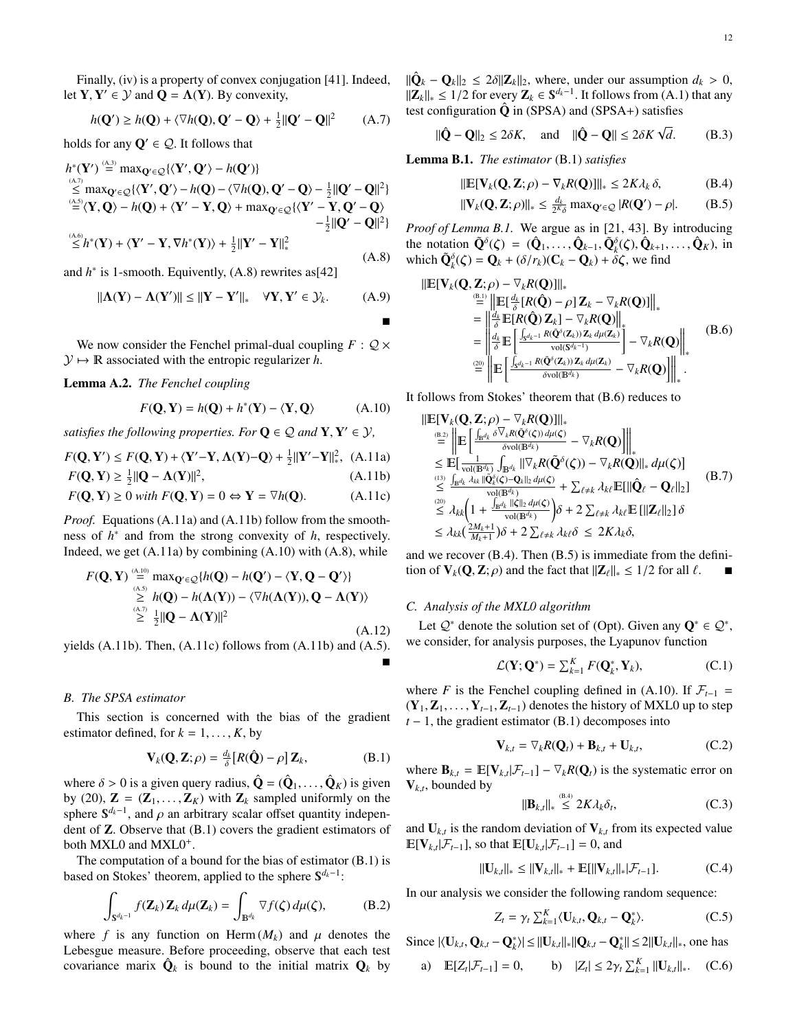Finally, [\(iv\)](#page-10-7) is a property of convex conjugation [\[41\]](#page-15-22). Indeed, let **Y**, **Y**'  $\in$  *Y* and **Q** =  $\Lambda$ (**Y**). By convexity,

$$
h(\mathbf{Q}') \ge h(\mathbf{Q}) + \langle \nabla h(\mathbf{Q}), \mathbf{Q}' - \mathbf{Q} \rangle + \frac{1}{2} ||\mathbf{Q}' - \mathbf{Q}||^2 \qquad (A.7)
$$

holds for any  $Q' \in \mathcal{Q}$ . It follows that

 $(4.3)$ 

<span id="page-11-1"></span>
$$
h^*(\mathbf{Y}') \stackrel{\text{(A.3)}}{=} \max_{\mathbf{Q}' \in \mathcal{Q}} \{ \langle \mathbf{Y}', \mathbf{Q}' \rangle - h(\mathbf{Q}') \} \n\leq \max_{\mathbf{Q}' \in \mathcal{Q}} \{ \langle \mathbf{Y}', \mathbf{Q}' \rangle - h(\mathbf{Q}) - \langle \nabla h(\mathbf{Q}), \mathbf{Q}' - \mathbf{Q} \rangle - \frac{1}{2} ||\mathbf{Q}' - \mathbf{Q}||^2 \} \n\stackrel{\text{(A.5)}}{=} \langle \mathbf{Y}, \mathbf{Q} \rangle - h(\mathbf{Q}) + \langle \mathbf{Y}' - \mathbf{Y}, \mathbf{Q} \rangle + \max_{\mathbf{Q}' \in \mathcal{Q}} \{ \langle \mathbf{Y}' - \mathbf{Y}, \mathbf{Q}' - \mathbf{Q} \rangle \} \n- \frac{1}{2} ||\mathbf{Q}' - \mathbf{Q}||^2 \} \n\leq h^*(\mathbf{Y}) + \langle \mathbf{Y}' - \mathbf{Y}, \nabla h^*(\mathbf{Y}) \rangle + \frac{1}{2} ||\mathbf{Y}' - \mathbf{Y}||_*^2
$$
\n(A.8)

and  $h^*$  is 1-smooth. Equivently,  $(A.8)$  rewrites as[\[42\]](#page-15-23)

<span id="page-11-19"></span>
$$
\|\mathbf{\Lambda}(\mathbf{Y}) - \mathbf{\Lambda}(\mathbf{Y}')\| \le \|\mathbf{Y} - \mathbf{Y}'\|_* \quad \forall \mathbf{Y}, \mathbf{Y}' \in \mathcal{Y}_k.
$$
 (A.9)

We now consider the Fenchel primal-dual coupling  $F: Q \times$  $\mathcal{Y} \mapsto \mathbb{R}$  associated with the entropic regularizer *h*.

<span id="page-11-13"></span>Lemma A.2. *The Fenchel coupling*

<span id="page-11-4"></span>
$$
F(\mathbf{Q}, \mathbf{Y}) = h(\mathbf{Q}) + h^*(\mathbf{Y}) - \langle \mathbf{Y}, \mathbf{Q} \rangle
$$
 (A.10)

*satisfies the following properties. For*  $Q \in \mathcal{Q}$  *and*  $Y, Y' \in \mathcal{Y}$ *,* 

$$
F(\mathbf{Q}, \mathbf{Y}') \le F(\mathbf{Q}, \mathbf{Y}) + \langle \mathbf{Y}' - \mathbf{Y}, \Lambda(\mathbf{Y}) - \mathbf{Q} \rangle + \frac{1}{2} ||\mathbf{Y}' - \mathbf{Y}||_*^2, \text{ (A.11a)}
$$
  
\n
$$
F(\mathbf{Q}, \mathbf{Y}) > \frac{1}{2} ||\mathbf{Q} - \Lambda(\mathbf{Y})||^2
$$
\n(A.11b)

$$
F(\mathbf{Q}, \mathbf{Y}) \ge \frac{1}{2} ||\mathbf{Q} - \Lambda(\mathbf{Y})||^2,
$$
\n(A.11b)\n
$$
F(\mathbf{Q}, \mathbf{Y}) \ge 0 \quad \text{if } F(\mathbf{Q}, \mathbf{Y}) = 0 \quad \text{if } \mathbf{Y} \in \mathbb{R}^2 \quad (A.11c)
$$

$$
F(\mathbf{Q}, \mathbf{Y}) \ge 0 \text{ with } F(\mathbf{Q}, \mathbf{Y}) = 0 \Leftrightarrow \mathbf{Y} = \nabla h(\mathbf{Q}). \tag{A.11c}
$$

*Proof.* Equations [\(A.11a\)](#page-11-2) and [\(A.11b\)](#page-11-3) follow from the smoothness of *h* ∗ and from the strong convexity of *h*, respectively. Indeed, we get  $(A.11a)$  by combining  $(A.10)$  with  $(A.8)$ , while

$$
F(\mathbf{Q}, \mathbf{Y}) \stackrel{\scriptscriptstyle(\lambda,10)}{\underset{\scriptscriptstyle(\lambda,5)}{\geq}} \max_{\mathbf{Q}' \in \mathcal{Q}} \{ h(\mathbf{Q}) - h(\mathbf{Q}') - \langle \mathbf{Y}, \mathbf{Q} - \mathbf{Q}' \rangle \}
$$
\n
$$
\stackrel{\scriptscriptstyle(\lambda,5)}{\geq} h(\mathbf{Q}) - h(\Lambda(\mathbf{Y})) - \langle \nabla h(\Lambda(\mathbf{Y})), \mathbf{Q} - \Lambda(\mathbf{Y}) \rangle
$$
\n
$$
\stackrel{\scriptscriptstyle(\lambda,7)}{\geq} \frac{1}{2} ||\mathbf{Q} - \Lambda(\mathbf{Y})||^2
$$
\n(A.12)

yields [\(A.11b\)](#page-11-3). Then, [\(A.11c\)](#page-11-5) follows from [\(A.11b\)](#page-11-3) and [\(A.5\)](#page-10-9).  $\blacksquare$ 

# *B. The SPSA estimator*

This section is concerned with the bias of the gradient estimator defined, for  $k = 1, \ldots, K$ , by

<span id="page-11-6"></span>
$$
\mathbf{V}_k(\mathbf{Q}, \mathbf{Z}; \rho) = \frac{d_k}{\delta} [R(\hat{\mathbf{Q}}) - \rho] \mathbf{Z}_k, \tag{B.1}
$$

where  $\delta > 0$  is a given query radius,  $\hat{\mathbf{Q}} = (\hat{\mathbf{Q}}_1, \dots, \hat{\mathbf{Q}}_K)$  is given<br>by (20)  $\mathbf{Z} = (\mathbf{Z}, \mathbf{Z}_K)$  with  $\mathbf{Z}_k$  sampled uniformly on the by [\(20\)](#page-4-5),  $\mathbf{Z} = (\mathbf{Z}_1, \dots, \mathbf{Z}_K)$  with  $\mathbf{Z}_k$  sampled uniformly on the sphere  $S^{d_k-1}$ , and  $\rho$  an arbitrary scalar offset quantity independent of **Z**. Observe that (B, 1) covers the gradient estimators of dent of Z. Observe that [\(B.1\)](#page-11-6) covers the gradient estimators of both MXL0 and MXL0<sup>+</sup>.

The computation of a bound for the bias of estimator [\(B.1\)](#page-11-6) is based on Stokes' theorem, applied to the sphere S<sup>d<sub>k</sub>−1</sup>:

<span id="page-11-8"></span>
$$
\int_{\mathbf{S}^{d_k-1}} f(\mathbf{Z}_k) \mathbf{Z}_k d\mu(\mathbf{Z}_k) = \int_{\mathbb{B}^{d_k}} \nabla f(\zeta) d\mu(\zeta), \tag{B.2}
$$

where f is any function on Herm  $(M_k)$  and  $\mu$  denotes the Lebesgue measure. Before proceeding, observe that each test covariance marix  $\hat{\mathbf{Q}}_k$  is bound to the initial matrix  $\mathbf{Q}_k$  by

 $\|\hat{\mathbf{Q}}_k - \mathbf{Q}_k\|_2 \le 2\delta \|\mathbf{Z}_k\|_2$ , where, under our assumption  $d_k > 0$ ,<br> $\|\mathbf{Z}_k\|_2 \le 1/2$  for every  $\mathbf{Z}_k \in \mathbb{S}^{d_k-1}$ . It follows from (A 1) that any  $||Z_k||_* ≤ 1/2$  for every  $Z_k ∈ S^{d_k-1}$ . It follows from [\(A.1\)](#page-10-10) that any test configuration  $\hat{\Omega}$  in (SPSA) and (SPSA+) satisfies test configuration  $\hat{Q}$  in [\(SPSA\)](#page-4-4) and [\(SPSA](#page-5-4)+) satisfies

<span id="page-11-18"></span>
$$
\|\hat{\mathbf{Q}} - \mathbf{Q}\|_2 \le 2\delta K, \quad \text{and} \quad \|\hat{\mathbf{Q}} - \mathbf{Q}\| \le 2\delta K \sqrt{d}. \tag{B.3}
$$

<span id="page-11-0"></span>Lemma B.1. *The estimator* [\(B.1\)](#page-11-6) *satisfies*

<span id="page-11-9"></span>
$$
\|\mathbb{E}[\mathbf{V}_k(\mathbf{Q}, \mathbf{Z}; \rho) - \nabla_k R(\mathbf{Q})]\|_{*} \le 2K\lambda_k \delta,
$$
\n(B.4)

<span id="page-11-10"></span>
$$
\|\mathbf{V}_k(\mathbf{Q}, \mathbf{Z}; \rho)\|_{\ast} \le \frac{d_k}{2^K \delta} \max_{\mathbf{Q}' \in \mathcal{Q}} |R(\mathbf{Q}') - \rho|.
$$
 (B.5)

*Proof of [Lemma B.1.](#page-11-0)* We argue as in [\[21,](#page-15-2) [43\]](#page-15-24). By introducing the notation  $\tilde{Q}^{\delta}(\zeta) = (\hat{Q}_1, \dots, \hat{Q}_{k-1}, \tilde{Q}_{\xi}^{\delta}(\zeta), \hat{Q}_{k+1}, \dots, \hat{Q}_K)$ , in which  $\tilde{Q}^{\delta}(\zeta) = Q_{k+1}(\zeta/\kappa)(C_{k-1}, \zeta) + \delta \zeta$  we find which  $\tilde{\mathbf{Q}}_k^{\delta}(\zeta) = \mathbf{Q}_k + (\delta/r_k)(\mathbf{C}_k - \mathbf{Q}_k) + \tilde{\delta}\zeta$ , we find

<span id="page-11-7"></span>
$$
\|\mathbb{E}[\mathbf{V}_{k}(\mathbf{Q}, \mathbf{Z}; \rho) - \nabla_{k} R(\mathbf{Q})]\|_{*}
$$
\n
$$
\stackrel{\text{(B.1)}}{=} \|\mathbb{E}[\frac{d_{k}}{\delta}[R(\hat{\mathbf{Q}}) - \rho] \mathbf{Z}_{k} - \nabla_{k} R(\mathbf{Q})]\|_{*}
$$
\n
$$
= \left\|\frac{d_{k}}{\delta} \mathbb{E}[R(\hat{\mathbf{Q}}) \mathbf{Z}_{k}] - \nabla_{k} R(\mathbf{Q})\right\|_{*}
$$
\n
$$
= \left\|\frac{d_{k}}{\delta} \mathbb{E}\left[\frac{\int_{S^{d_{k}-1}} R(\hat{\mathbf{Q}}^{\delta}(\mathbf{Z}_{k})) \mathbf{Z}_{k} d\mu(\mathbf{Z}_{k})}{\text{vol}(S^{d_{k}-1})}\right] - \nabla_{k} R(\mathbf{Q})\right\|_{*}
$$
\n
$$
\stackrel{\text{(B.6)}}{=} \left\|\mathbb{E}\left[\frac{\int_{S^{d_{k}-1}} R(\tilde{\mathbf{Q}}^{\delta}(\mathbf{Z}_{k})) \mathbf{Z}_{k} d\mu(\mathbf{Z}_{k})}{\delta \text{vol}(\mathbb{B}^{d_{k}})} - \nabla_{k} R(\mathbf{Q})\right]\right\|_{*}.
$$

<span id="page-11-2"></span>It follows from Stokes' theorem that [\(B.6\)](#page-11-7) reduces to

<span id="page-11-3"></span>
$$
\|\mathbb{E}[\mathbf{V}_{k}(\mathbf{Q}, \mathbf{Z}; \rho) - \nabla_{k}R(\mathbf{Q})]\|_{*} \n\stackrel{\text{(B.2)}}{=} \|\mathbb{E}\left[\frac{\int_{\mathbf{B}^{d_{k}}}\delta \nabla_{k}R(\tilde{\mathbf{Q}}^{s}(\zeta)) d\mu(\zeta)}{\delta \text{vol}(\mathbf{B}^{d_{k}})} - \nabla_{k}R(\mathbf{Q})\right]\|_{*} \n\leq \mathbb{E}[\frac{1}{\text{vol}(\mathbf{B}^{d_{k}})}\int_{\mathbf{B}^{d_{k}}}||\nabla_{k}R(\tilde{\mathbf{Q}}^{s}(\zeta)) - \nabla_{k}R(\mathbf{Q})||_{*} d\mu(\zeta)] \n\stackrel{\text{(13)}}{\leq} \frac{\int_{\mathbf{B}^{d_{k}}}\lambda_{kk}||\tilde{\mathbf{Q}}^{s}_{k}(\zeta) - \mathbf{Q}_{k}||_{2} d\mu(\zeta)}{\text{vol}(\mathbf{B}^{d_{k}})} + \sum_{\ell \neq k}\lambda_{k\ell}\mathbb{E}[\|\hat{\mathbf{Q}}_{\ell} - \mathbf{Q}_{\ell}\|_{2}] \n\leq \lambda_{k}k\left(1 + \frac{\int_{\mathbf{B}^{d_{k}}}\|\xi\|_{2} d\mu(\zeta)}{\text{vol}(\mathbf{B}^{d_{k}})}\right)\delta + 2 \sum_{\ell \neq k}\lambda_{k\ell}\mathbb{E}[\|Z_{\ell}\|_{2}]\delta \n\leq \lambda_{k}k\left(\frac{2M_{k}+1}{M_{k}+1}\right)\delta + 2 \sum_{\ell \neq k}\lambda_{k\ell}\delta \leq 2K\lambda_{k}\delta,
$$
\n(24)

<span id="page-11-5"></span>and we recover [\(B.4\)](#page-11-9). Then [\(B.5\)](#page-11-10) is immediate from the definition of  $V_k(Q, Z; \rho)$  and the fact that  $||Z_\ell||_* \leq 1/2$  for all  $\ell$ .

# *C. Analysis of the MXL0 algorithm*

Let  $\mathcal{Q}^*$  denote the solution set of [\(Opt\)](#page-2-2). Given any  $\mathbf{Q}^* \in \mathcal{Q}^*$ , we consider, for analysis purposes, the Lyapunov function

<span id="page-11-20"></span>
$$
\mathcal{L}(\mathbf{Y};\mathbf{Q}^*) = \sum_{k=1}^K F(\mathbf{Q}_k^*, \mathbf{Y}_k),
$$
 (C.1)

where *F* is the Fenchel coupling defined in [\(A.10\)](#page-11-4). If  $\mathcal{F}_{t-1}$  =  $(Y_1, Z_1, \ldots, Y_{t-1}, Z_{t-1})$  denotes the history of MXL0 up to step  $t - 1$ , the gradient estimator [\(B.1\)](#page-11-6) decomposes into

<span id="page-11-14"></span>
$$
\mathbf{V}_{k,t} = \nabla_k R(\mathbf{Q}_t) + \mathbf{B}_{k,t} + \mathbf{U}_{k,t},
$$
 (C.2)

where  $\mathbf{B}_{k,t} = \mathbb{E}[\mathbf{V}_{k,t}|\mathcal{F}_{t-1}] - \nabla_k R(\mathbf{Q}_t)$  is the systematic error on  $V_{k,t}$ , bounded by  $(5.4)$ 

<span id="page-11-15"></span>
$$
\|\mathbf{B}_{k,t}\|_{*} \leq 2K\lambda_k \delta_t, \tag{C.3}
$$

and  $U_{k,t}$  is the random deviation of  $V_{k,t}$  from its expected value  $\mathbb{E}[\mathbf{V}_{k,t}|\mathcal{F}_{t-1}]$ , so that  $\mathbb{E}[\mathbf{U}_{k,t}|\mathcal{F}_{t-1}] = 0$ , and

<span id="page-11-17"></span>
$$
\|\mathbf{U}_{k,t}\|_{*} \leq \|\mathbf{V}_{k,t}\|_{*} + \mathbb{E}[\|\mathbf{V}_{k,t}\|_{*}|\mathcal{F}_{t-1}].
$$
 (C.4)

In our analysis we consider the following random sequence:

<span id="page-11-11"></span>
$$
Z_t = \gamma_t \sum_{k=1}^K \langle \mathbf{U}_{k,t}, \mathbf{Q}_{k,t} - \mathbf{Q}_k^* \rangle.
$$
 (C.5)

<span id="page-11-16"></span><span id="page-11-12"></span>Since  $|\langle \mathbf{U}_{k,t}, \mathbf{Q}_{k,t} - \mathbf{Q}_{k}^* \rangle| \le ||\mathbf{U}_{k,t}||_* ||\mathbf{Q}_{k,t} - \mathbf{Q}_{k}^*|| \le 2||\mathbf{U}_{k,t}||_*$ , one has a)  $\mathbb{E}[Z_t | \mathcal{F}_{t-1}] = 0$ , b)  $|Z_t$  $| \leq 2\gamma_t \sum_{k=1}^K ||\mathbf{U}_{k,t}||_*.$  (C.6)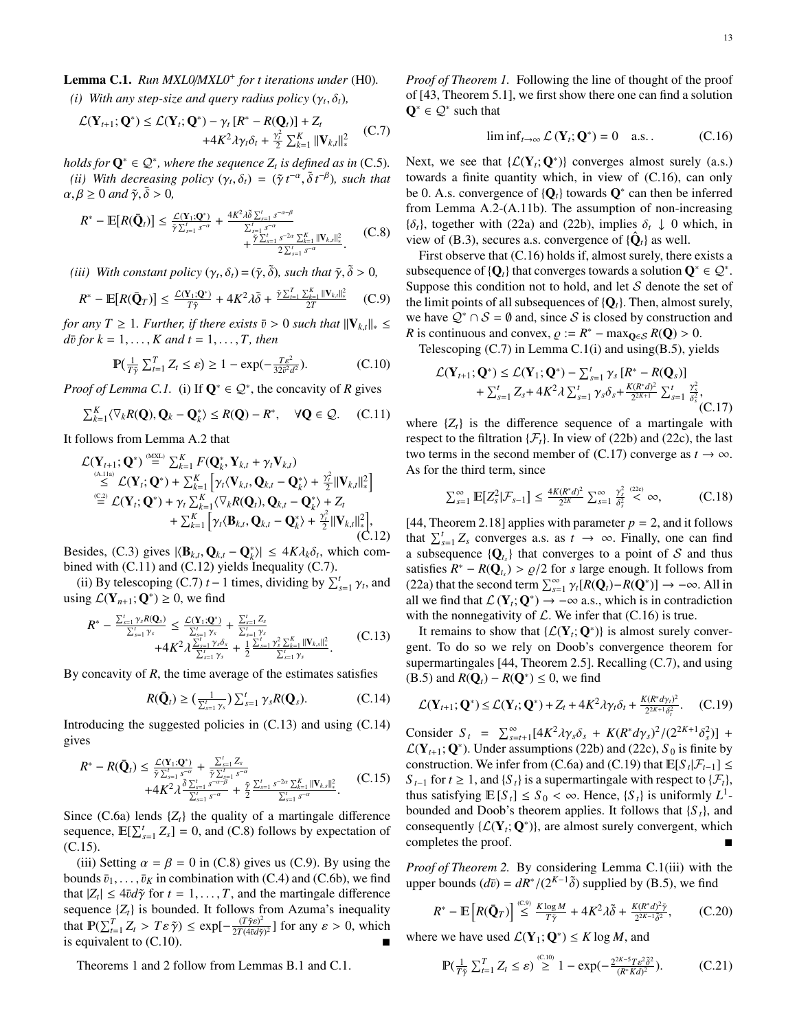Lemma C.1. *Run MXL0*/*MXL0*<sup>+</sup> *for t iterations under* [\(H0\)](#page-4-6)*.*

<span id="page-12-0"></span>*(i) With any step-size and query radius policy*  $(\gamma_t, \delta_t)$ *,* 

<span id="page-12-3"></span>
$$
\mathcal{L}(\mathbf{Y}_{t+1}; \mathbf{Q}^*) \leq \mathcal{L}(\mathbf{Y}_t; \mathbf{Q}^*) - \gamma_t [R^* - R(\mathbf{Q}_t)] + Z_t + 4K^2 \lambda \gamma_t \delta_t + \frac{\gamma_t^2}{2} \sum_{k=1}^K ||\mathbf{V}_{k,t}||_*^2
$$
 (C.7)

<span id="page-12-4"></span>*holds for*  $\mathbf{Q}^* \in \mathcal{Q}^*$ *, where the sequence*  $Z_t$  *is defined as in* [\(C.5\)](#page-11-11). (*ii*) *With decreasing policy*  $(\gamma_t, \delta_t) = (\tilde{\gamma} t^{-\alpha}, \tilde{\delta} t^{-\beta})$ , such that  $\beta > 0$  and  $\tilde{\delta} > 0$ .  $\alpha, \beta \geq 0$  and  $\tilde{\gamma}, \tilde{\delta} > 0$ ,

<span id="page-12-7"></span>
$$
R^* - \mathbb{E}[R(\bar{\mathbf{Q}}_t)] \leq \frac{\mathcal{L}(\mathbf{Y}_1; \mathbf{Q}^*)}{\tilde{\gamma} \sum_{s=1}^t s^{-\alpha}} + \frac{4K^2 \lambda \tilde{\delta} \sum_{s=1}^t s^{-\alpha-\beta}}{\sum_{s=1}^t s^{-\alpha}} + \frac{\tilde{\gamma} \sum_{s=1}^t s^{-\alpha-\beta}}{2 \sum_{s=1}^t s^{-\alpha}} \sum_{s=\alpha}^K ||\mathbf{V}_{k,s}||_*^2}.
$$
 (C.8)

<span id="page-12-9"></span>*(iii) With constant policy*  $(\gamma_t, \delta_t) = (\tilde{\gamma}, \tilde{\delta})$ *, such that*  $\tilde{\gamma}, \tilde{\delta} > 0$ *,* 

<span id="page-12-10"></span>
$$
R^* - \mathbb{E}[R(\bar{\mathbf{Q}}_T)] \le \frac{\mathcal{L}(\mathbf{Y}_1; \mathbf{Q}^*)}{T\tilde{\gamma}} + 4K^2\lambda\tilde{\delta} + \frac{\tilde{\gamma}\sum_{t=1}^T \sum_{k=1}^K \|\mathbf{V}_{k,t}\|_{*}^2}{2T}
$$
 (C.9)

*for any T*  $\geq$  1*. Further, if there exists*  $\bar{v} > 0$  *such that*  $||V_{k,t}||_* \leq$  $d\bar{v}$  *for*  $k = 1, \ldots, K$  *and*  $t = 1, \ldots, T$ *, then* 

<span id="page-12-11"></span>
$$
\mathbb{P}(\frac{1}{T\tilde{\gamma}}\sum_{t=1}^{T} Z_t \le \varepsilon) \ge 1 - \exp(-\frac{T\varepsilon^2}{32\tilde{\nu}^2 d^2}).\tag{C.10}
$$

*Proof of [Lemma C.1.](#page-11-12)* [\(i\)](#page-12-0) If  $Q^* \in \mathcal{Q}^*$ , the concavity of *R* gives

<span id="page-12-1"></span>
$$
\sum_{k=1}^{K} \langle \nabla_k R(\mathbf{Q}), \mathbf{Q}_k - \mathbf{Q}_k^* \rangle \le R(\mathbf{Q}) - R^*, \quad \forall \mathbf{Q} \in \mathcal{Q}. \quad (C.11)
$$

It follows from [Lemma A.2](#page-11-13) that

<span id="page-12-2"></span>
$$
\mathcal{L}(\mathbf{Y}_{t+1};\mathbf{Q}^*) \stackrel{\text{(MSE)}}{=} \sum_{k=1}^K F(\mathbf{Q}_k^*, \mathbf{Y}_{k,t} + \gamma_t \mathbf{V}_{k,t}) \n\stackrel{\text{(A.11a)}}{\leq} \mathcal{L}(\mathbf{Y}_t;\mathbf{Q}^*) + \sum_{k=1}^K \left[ \gamma_t \langle \mathbf{V}_{k,t}, \mathbf{Q}_{k,t} - \mathbf{Q}_k^* \rangle + \frac{\gamma_t^2}{2} ||\mathbf{V}_{k,t}||_*^2 \right] \n\stackrel{\text{(C2)}}{=} \mathcal{L}(\mathbf{Y}_t;\mathbf{Q}^*) + \gamma_t \sum_{k=1}^K \langle \nabla_k R(\mathbf{Q}_t), \mathbf{Q}_{k,t} - \mathbf{Q}_k^* \rangle + Z_t \n+ \sum_{k=1}^K \left[ \gamma_t \langle \mathbf{B}_{k,t}, \mathbf{Q}_{k,t} - \mathbf{Q}_k^* \rangle + \frac{\gamma_t^2}{2} ||\mathbf{V}_{k,t}||_*^2 \right],
$$
\n(C.12)

Besides, [\(C.3\)](#page-11-15) gives  $|\langle \mathbf{B}_{k,t}, \mathbf{Q}_{k,t} - \mathbf{Q}_{k}^* \rangle| \le 4K\lambda_k \delta_t$ , which com-<br>bined with (C 11) and (C 12) yields Inequality (C 7) bined with [\(C.11\)](#page-12-1) and [\(C.12\)](#page-12-2) yields Inequality [\(C.7\)](#page-12-3).

[\(ii\)](#page-12-4) By telescoping [\(C.7\)](#page-12-3) *t* − 1 times, dividing by  $\sum_{s=1}^{t} \gamma_t$ , and  $f(\mathbf{V} \cup \mathbf{P}^*) > 0$ , we find using  $\mathcal{L}(\mathbf{Y}_{n+1}; \mathbf{Q}^*) \geq 0$ , we find

<span id="page-12-5"></span>
$$
R^* - \frac{\sum_{s=1}^{t} \gamma_s R(\mathbf{Q}_s)}{\sum_{s=1}^{t} \gamma_s} \le \frac{\mathcal{L}(\mathbf{Y}_1; \mathbf{Q}^*)}{\sum_{s=1}^{t} \gamma_s} + \frac{\sum_{s=1}^{t} Z_s}{\sum_{s=1}^{t} \gamma_s}
$$
  
+4K<sup>2</sup>  $\lambda \frac{\sum_{s=1}^{t} \gamma_s \delta_s}{\sum_{s=1}^{t} \gamma_s} + \frac{1}{2} \frac{\sum_{s=1}^{t} \gamma_s^2 \sum_{k=1}^{K} ||\mathbf{V}_{k,s}||_*^2}{\sum_{s=1}^{t} \gamma_s}.$  (C.13)

By concavity of *R*, the time average of the estimates satisfies

<span id="page-12-6"></span>
$$
R(\bar{\mathbf{Q}}_t) \geq \left(\frac{1}{\sum_{s=1}^t \gamma_s}\right) \sum_{s=1}^t \gamma_s R(\mathbf{Q}_s). \tag{C.14}
$$

Introducing the suggested policies in [\(C.13\)](#page-12-5) and using [\(C.14\)](#page-12-6) gives

<span id="page-12-8"></span>
$$
R^* - R(\bar{Q}_t) \leq \frac{\mathcal{L}(\mathbf{Y}_1; Q^*)}{\tilde{\gamma} \sum_{s=1}^t s^{-\alpha}} + \frac{\sum_{s=1}^t Z_s}{\tilde{\gamma} \sum_{s=1}^t s^{-\alpha}} + 4K^2 \lambda \frac{\delta \sum_{s=1}^t s^{-\alpha-\beta}}{\sum_{s=1}^t s^{-\alpha-\beta}} + \frac{\tilde{\gamma}}{2} \frac{\sum_{s=1}^t s^{-2\alpha} \sum_{k=1}^K ||\mathbf{V}_{k,s}||_*^2}{\sum_{s=1}^t s^{-\alpha}}.
$$
 (C.15)

Since  $(C.6a)$  $(C.6a)$  lends  $\{Z_t\}$  the quality of a martingale difference sequence,  $\mathbb{E}[\sum_{s=1}^{t} Z_s] = 0$ , and [\(C.8\)](#page-12-7) follows by expectation of [\(C.15\)](#page-12-8).

[\(iii\)](#page-12-9) Setting  $\alpha = \beta = 0$  in [\(C.8\)](#page-12-7) gives us [\(C.9\)](#page-12-10). By using the bounds  $\bar{v}_1, \ldots, \bar{v}_K$  in combination with [\(C.4\)](#page-11-17) and [\(C.6b](#page-11-16)), we find that  $|Z_t| \le 4\bar{v}d\tilde{\gamma}$  for  $t = 1, \ldots, T$ , and the martingale difference sequence  $\tilde{Z}$  is bounded. It follows from Azuma's inequality sequence  $\{Z_t\}$  is bounded. It follows from Azuma's inequality that  $\mathbb{P}(\sum_{t=1}^{T} Z_t > T \varepsilon \tilde{\gamma}) \leq \exp[-\frac{(T\tilde{\gamma}\varepsilon)^2}{2T(4\tilde{v}d\tilde{\gamma})}]$  $\frac{(1 \gamma \varepsilon)^2}{2T(4\bar{\nu}d\tilde{\gamma})^2}$  for any  $\varepsilon > 0$ , which is equivalent to [\(C.10\)](#page-12-11).

[Theorems 1](#page-5-1) and [2](#page-5-2) follow from [Lemmas B.1](#page-11-0) and [C.1.](#page-11-12)

*Proof of [Theorem 1.](#page-5-1)* Following the line of thought of the proof of [\[43,](#page-15-24) Theorem 5.1], we first show there one can find a solution  $\mathbf{Q}^* \in \mathcal{Q}^*$  such that

<span id="page-12-12"></span>
$$
\liminf_{t \to \infty} \mathcal{L}(\mathbf{Y}_t; \mathbf{Q}^*) = 0 \quad \text{a.s.} \tag{C.16}
$$

Next, we see that  $\{ \mathcal{L}(\mathbf{Y}_i; \mathbf{Q}^*) \}$  converges almost surely (a.s.) towards a finite quantity which, in view of [\(C.16\)](#page-12-12), can only be 0. A.s. convergence of  ${Q<sub>t</sub>}$  towards  $Q<sup>*</sup>$  can then be inferred from [Lemma A.2-](#page-11-13)[\(A.11b\)](#page-11-3). The assumption of non-increasing  ${\delta_t}$ , together with [\(22a](#page-4-8)) and [\(22b](#page-4-8)), implies  $\delta_t \downarrow 0$  which, in view of [\(B.3\)](#page-11-18), secures a.s. convergence of  $\{\hat{\mathbf{Q}}_t\}$  as well.

First observe that [\(C.16\)](#page-12-12) holds if, almost surely, there exists a subsequence of  ${Q_t}$  that converges towards a solution  $Q^* \in \mathcal{Q}^*$ . Suppose this condition not to hold, and let  $S$  denote the set of the limit points of all subsequences of  ${Q<sub>t</sub>}$ . Then, almost surely, we have  $Q^* \cap S = \emptyset$  and, since S is closed by construction and *R* is continuous and convex,  $\rho := R^* - \max_{\mathbf{Q} \in \mathcal{S}} R(\mathbf{Q}) > 0$ .<br> *Relescoping (C.7)* in Lemma C.1(i) and using (R.5), view

Telescoping  $(C.7)$  in Lemma  $C.1(i)$  $C.1(i)$  and using $(B.5)$ , yields

<span id="page-12-13"></span>
$$
\mathcal{L}(\mathbf{Y}_{t+1};\mathbf{Q}^*) \leq \mathcal{L}(\mathbf{Y}_1;\mathbf{Q}^*) - \sum_{s=1}^t \gamma_s [R^* - R(\mathbf{Q}_s)] + \sum_{s=1}^t Z_s + 4K^2 \lambda \sum_{s=1}^t \gamma_s \delta_s + \frac{K(R^*d)^2}{2^{2K+1}} \sum_{s=1}^t \frac{\gamma_s^2}{\delta_s^2},
$$
(C.17)

where  $\{Z_t\}$  is the difference sequence of a martingale with respect to the filtration  $\{\mathcal{F}_t\}$ . In view of [\(22b](#page-4-8)) and [\(22c](#page-4-8)), the last two terms in the second member of [\(C.17\)](#page-12-13) converge as  $t \to \infty$ . As for the third term, since

$$
\sum_{s=1}^{\infty} \mathbb{E}[Z_s^2 | \mathcal{F}_{s-1}] \le \frac{4K(R^*d)^2}{2^{2K}} \sum_{s=1}^{\infty} \frac{\gamma_s^2}{\delta_s^2} \stackrel{(22c)}{\lt \infty}, \tag{C.18}
$$

[\[44,](#page-15-25) Theorem 2.18] applies with parameter  $p = 2$ , and it follows that  $\sum_{s=1}^{t} Z_s$  converges a.s. as  $t \to \infty$ . Finally, one can find a subsequence  ${Q_t}_s$  that converges to a point of S and thus satisfies  $R^* - R(Q_t) > \rho/2$  for *s* large enough. It follows from  $(22a)$  that the second term  $\sum_{i=1}^{\infty} \gamma[R(\mathbf{O}) - R(\mathbf{O}^*)] \rightarrow -\infty$ . All in [\(22a](#page-4-8)) that the second term  $\sum_{s=1}^{\infty} \gamma_t [R(Q_t) - R(Q^*)] \rightarrow -\infty$ . All in subsets that  $\Gamma(\mathbf{V} : \mathbf{O}^*) \rightarrow -\infty$  as which is in contradiction all we find that  $\mathcal{L}(\mathbf{Y}_t; \mathbf{Q}^*) \to -\infty$  a.s., which is in contradiction with the nonnegativity of  $\mathcal{L}$ . We infer that [\(C.16\)](#page-12-12) is true.

It remains to show that  $\{ \mathcal{L}(\mathbf{Y}_t; \mathbf{Q}^*) \}$  is almost surely convergent. To do so we rely on Doob's convergence theorem for supermartingales [\[44,](#page-15-25) Theorem 2.5]. Recalling [\(C.7\)](#page-12-3), and using [\(B.5\)](#page-11-10) and  $R(\mathbf{Q}_t) - R(\mathbf{Q}^*) \leq 0$ , we find

<span id="page-12-14"></span>
$$
\mathcal{L}(\mathbf{Y}_{t+1};\mathbf{Q}^*) \leq \mathcal{L}(\mathbf{Y}_t;\mathbf{Q}^*) + Z_t + 4K^2 \lambda \gamma_t \delta_t + \frac{K(R^* d\gamma_t)^2}{2^{2K+1} \delta_t^2}.
$$
 (C.19)

Consider  $S_t = \sum_{s=t+1}^{\infty} [4K^2 \lambda \gamma_s \delta_s + K(R^* d\gamma_s)^2/(2^{2K+1} \delta_s^2)] + C(\mathbf{V} \cup \mathbf{O}^*)$ . Under assumptions (22b) and (22c),  $S_s$  is finite by  $\mathcal{L}(\mathbf{Y}_{t+1}; \mathbf{Q}^*)$ . Under assumptions [\(22b](#page-4-8)) and [\(22c](#page-4-8)), *S*<sub>0</sub> is finite by construction. We infer from [\(C.6a](#page-11-16)) and [\(C.19\)](#page-12-14) that  $\mathbb{E}[S_t | \mathcal{F}_{t-1}] \leq$ *S*  $_{t-1}$  for  $t \geq 1$ , and {*S*<sub>t</sub>} is a supermartingale with respect to { $\mathcal{F}_t$ }, thus satisfying  $\mathbb{E}[S_t] \leq S_0 < \infty$ . Hence,  $\{S_t\}$  is uniformly  $L^1$ -<br>bounded and Doob's theorem applies. It follows that  $\{S_t\}$  and bounded and Doob's theorem applies. It follows that  ${S_t}$ , and consequently  $\{ \mathcal{L}(\mathbf{Y}_t; \mathbf{Q}^*) \}$ , are almost surely convergent, which completes the proof.

*Proof of [Theorem 2.](#page-5-2)* By considering [Lemma C.1\(](#page-11-12)[iii\)](#page-12-9) with the upper bounds  $(d\bar{v}) = dR^*/(2^{K-1}\tilde{\delta})$  supplied by [\(B.5\)](#page-11-10), we find

<span id="page-12-15"></span>
$$
R^* - \mathbb{E}\left[R(\bar{\mathbf{Q}}_T)\right] \stackrel{\text{(C.9)}}{\leq} \frac{K\log M}{T\tilde{\gamma}} + 4K^2\lambda\tilde{\delta} + \frac{K(R^*\,d)^2\tilde{\gamma}}{2^{2K-1}\tilde{\delta}^2},\tag{C.20}
$$

where we have used  $\mathcal{L}(\mathbf{Y}_1; \mathbf{Q}^*) \leq K \log M$ , and

<span id="page-12-16"></span>
$$
\mathbb{P}(\frac{1}{T\tilde{\gamma}}\sum_{t=1}^{T} Z_t \leq \varepsilon) \stackrel{\text{(C.10)}}{\geq} 1 - \exp(-\frac{2^{2K-5}T\varepsilon^2 \tilde{\delta}^2}{(R^*Kd)^2}).\tag{C.21}
$$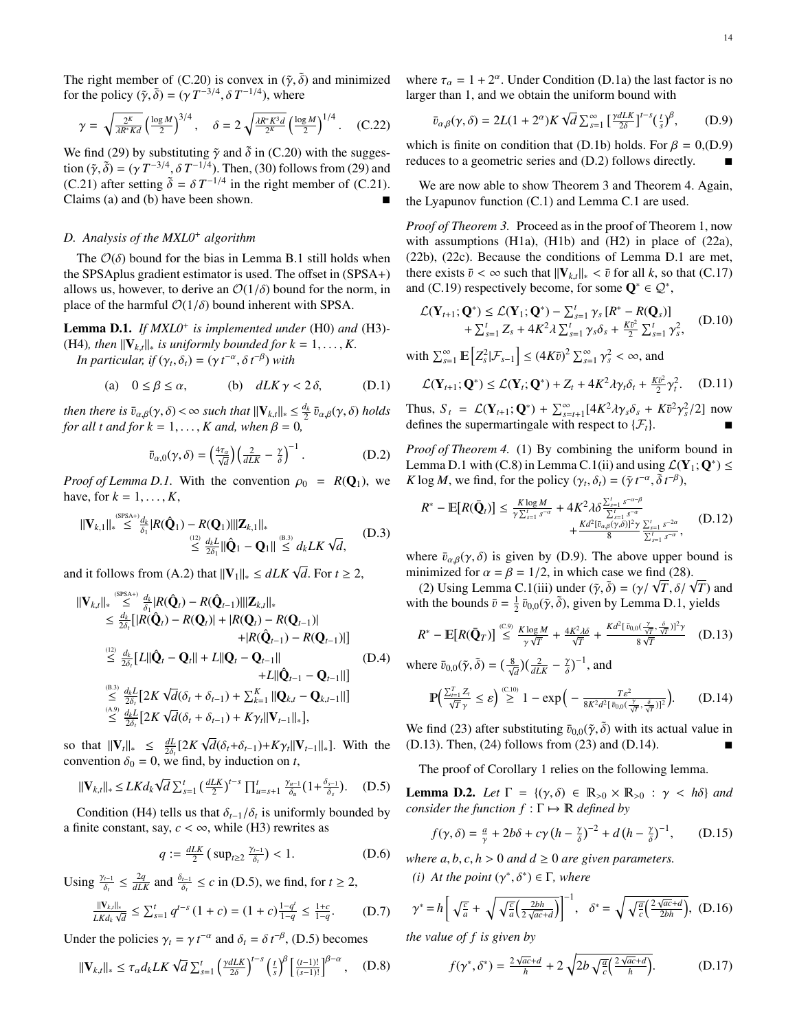The right member of [\(C.20\)](#page-12-15) is convex in  $(\tilde{\gamma}, \tilde{\delta})$  and minimized for the policy  $(\tilde{\gamma}, \tilde{\delta}) = (\gamma T^{-3/4}, \delta T^{-1/4})$ , where

$$
\gamma = \sqrt{\frac{2^K}{\lambda R^* K d}} \left(\frac{\log M}{2}\right)^{3/4}, \quad \delta = 2 \sqrt{\frac{\lambda R^* K^3 d}{2^K}} \left(\frac{\log M}{2}\right)^{1/4}.
$$
 (C.22)

We find [\(29\)](#page-6-13) by substituting  $\tilde{\gamma}$  and  $\tilde{\delta}$  in [\(C.20\)](#page-12-15) with the suggestion  $({\tilde{\gamma}}, {\tilde{\delta}}) = (\gamma T^{-3/4}, \delta T^{-1/4})$ . Then, [\(30\)](#page-6-14) follows from [\(29\)](#page-6-13) and<br>(C 21) after setting  ${\tilde{\delta}} - \delta T^{-1/4}$  in the right member of (C 21) [\(C.21\)](#page-12-16) after setting  $\tilde{\delta} = \delta T^{-1/4}$  in the right member of (C.21).<br>Claims (a) and (b) have been shown Claims [\(a\)](#page-5-6) and [\(b\)](#page-5-7) have been shown.

# <span id="page-13-0"></span>*D. Analysis of the MXL0*<sup>+</sup> *algorithm*

The  $\mathcal{O}(\delta)$  bound for the bias in [Lemma B.1](#page-11-0) still holds when the SPSAplus gradient estimator is used. The offset in [\(SPSA](#page-5-4)+) allows us, however, to derive an  $O(1/\delta)$  bound for the norm, in place of the harmful  $\mathcal{O}(1/\delta)$  bound inherent with SPSA.

<span id="page-13-1"></span>Lemma D.1. *If MXL0*<sup>+</sup> *is implemented under* [\(H0\)](#page-4-6) *and* [\(H3\)](#page-6-2)*-* [\(H4\)](#page-6-3), then  $||V_{k,t}||_*$  is uniformly bounded for  $k = 1, ..., K$ .

*In particular, if*  $(\gamma_t, \delta_t) = (\gamma t^{-\alpha}, \delta t^{-\beta})$  *with* 

<span id="page-13-3"></span>(a) 
$$
0 \le \beta \le \alpha
$$
, (b)  $dLK \gamma < 2\delta$ , (D.1)

*then there is*  $\bar{v}_{\alpha,\beta}(\gamma,\delta) < \infty$  *such that*  $\|\mathbf{V}_{k,t}\|_{*} \leq \frac{d_k}{2} \bar{v}_{\alpha,\beta}(\gamma,\delta)$  *holds* for all *t* and for  $k-1$  *K* and when  $\beta - 0$ *for all t and for k* = 1, ..., *K and, when*  $\beta$  = 0*,* 

<span id="page-13-5"></span>
$$
\bar{v}_{\alpha,0}(\gamma,\delta) = \left(\frac{4\tau_a}{\sqrt{d}}\right) \left(\frac{2}{dLK} - \frac{\gamma}{\delta}\right)^{-1}.
$$
 (D.2)

*Proof of [Lemma D.1.](#page-13-1)* With the convention  $\rho_0 = R(Q_1)$ , we have, for  $k = 1, \ldots, K$ ,

$$
\|\mathbf{V}_{k,1}\|_{*} \leq \sum_{\delta_1}^{\text{(SPSA+)}d_k} |R(\hat{\mathbf{Q}}_1) - R(\mathbf{Q}_1)| \|\mathbf{Z}_{k,1}\|_{*}
$$
\n
$$
\leq \frac{d_k L}{2\delta_1} \|\hat{\mathbf{Q}}_1 - \mathbf{Q}_1\| \leq d_k L K \sqrt{d},
$$
\n(D.3)

and it follows from [\(A.2\)](#page-10-11) that  $\|\mathbf{V}_1\|_* \le dLK \sqrt{d}$ . For  $t \ge 2$ ,

$$
\begin{split}\n\|\mathbf{V}_{k,t}\|_{*} &\overset{\text{(SPSA+)}}{\leq} \frac{d_{k}}{\delta_{1}} |R(\hat{\mathbf{Q}}_{t}) - R(\hat{\mathbf{Q}}_{t-1})| \|\mathbf{Z}_{k,t}\|_{*} \\
&\leq \frac{d_{k}}{2\delta_{t}} [R(\hat{\mathbf{Q}}_{t}) - R(\mathbf{Q}_{t})| + |R(\mathbf{Q}_{t}) - R(\mathbf{Q}_{t-1})| \\
&\quad + |R(\hat{\mathbf{Q}}_{t-1}) - R(\mathbf{Q}_{t-1})|] \\
&\overset{\text{(12)}}{\leq} \frac{d_{k}}{2\delta_{t}} [L||\hat{\mathbf{Q}}_{t} - \mathbf{Q}_{t}|| + L||\mathbf{Q}_{t} - \mathbf{Q}_{t-1}|| \\
&\quad + L||\hat{\mathbf{Q}}_{t-1} - \mathbf{Q}_{t-1}||] \\
&\overset{\text{(B.3)}}{\leq} \frac{d_{k}L}{2\delta_{t}} [2K\sqrt{d}(\delta_{t} + \delta_{t-1}) + \sum_{k=1}^{K} ||\mathbf{Q}_{k,t} - \mathbf{Q}_{k,t-1}||] \\
&\leq \frac{d_{k}L}{2\delta_{t}} [2K\sqrt{d}(\delta_{t} + \delta_{t-1}) + K\gamma_{t} ||\mathbf{V}_{t-1}||_{*}],\n\end{split} \tag{D.4}
$$

so that  $||\mathbf{V}_t||_* \leq \frac{dL}{2\delta} [2K]$  $2\delta_t$  LA  $\mathbf{V}_t \mathbf{I} \mathbf{I}^* = 2\delta_t$  LA  $\mathbf{V}_t \mathbf{U}_t \mathbf{U}_t - \mathbf{U}_t \mathbf{I} \mathbf{I} \mathbf{I} \mathbf{I}$ <br>
convention  $\delta_0 = 0$ , we find, by induction on *t*, √  $d(\delta_t + \delta_{t-1}) + K\gamma_t \|\mathbf{V}_{t-1}\|_*$ . With the

<span id="page-13-2"></span>
$$
\|\mathbf{V}_{k,t}\|_{*} \leq LKd_{k}\sqrt{d} \sum_{s=1}^{t} \left(\frac{dLK}{2}\right)^{t-s} \prod_{u=s+1}^{t} \frac{\gamma_{u-1}}{\delta_{u}}(1+\frac{\delta_{s-1}}{\delta_{s}}). \quad (D.5)
$$

Condition [\(H4\)](#page-6-3) tells us that  $\delta_{t-1}/\delta_t$  is uniformly bounded by<br>inite constant, say  $c \leq \infty$ , while (H3) rewrites as a finite constant, say,  $c < \infty$ , while [\(H3\)](#page-6-2) rewrites as

$$
q := \frac{dLK}{2} \left( \sup_{t \ge 2} \frac{\gamma_{t-1}}{\delta_t} \right) < 1. \tag{D.6}
$$

Using  $\frac{\gamma_{t-1}}{\delta_t}$  $\leq \frac{2q}{dLK}$  and  $\frac{\delta_{t-1}}{\delta_t} \leq c$  in [\(D.5\)](#page-13-2), we find, for  $t \geq 2$ ,

$$
\frac{\|V_{k,l}\|_{*}}{LKd_k\sqrt{d}} \le \sum_{s=1}^{t} q^{t-s} \left(1+c\right) = (1+c) \frac{1-q^t}{1-q} \le \frac{1+c}{1-q}.\tag{D.7}
$$

Under the policies  $\gamma_t = \gamma t^{-\alpha}$  and  $\delta_t = \delta t^{-\beta}$ , [\(D.5\)](#page-13-2) becomes

$$
\|\mathbf{V}_{k,t}\|_{*} \leq \tau_{\alpha} d_{k} L K \sqrt{d} \sum_{s=1}^{t} \left(\frac{\gamma d L K}{2\delta}\right)^{t-s} \left(\frac{t}{s}\right)^{\beta} \left[\frac{(t-1)!}{(s-1)!}\right]^{\beta-\alpha}, \quad (D.8)
$$

where  $\tau_{\alpha} = 1 + 2^{\alpha}$ . Under Condition [\(D.1a](#page-13-3)) the last factor is no<br>larger than 1 and we obtain the uniform bound with larger than 1, and we obtain the uniform bound with

<span id="page-13-4"></span>
$$
\bar{v}_{\alpha,\beta}(\gamma,\delta) = 2L(1+2^{\alpha})K\sqrt{d} \sum_{s=1}^{\infty} \left[\frac{\gamma dL}{2\delta}\right]^{t-s} \left(\frac{t}{s}\right)^{\beta},\tag{D.9}
$$

which is finite on condition that [\(D.1b](#page-13-3)) holds. For  $\beta = 0$ , [\(D.9\)](#page-13-4) reduces to a geometric series and [\(D.2\)](#page-13-5) follows directly.

We are now able to show [Theorem 3](#page-6-5) and [Theorem 4.](#page-6-10) Again, the Lyapunov function [\(C.1\)](#page-11-20) and [Lemma C.1](#page-11-12) are used.

*Proof of [Theorem 3.](#page-6-5)* Proceed as in the proof of [Theorem 1,](#page-5-1) now with assumptions [\(H1a](#page-5-8)), [\(H1b](#page-5-8)) and [\(H2\)](#page-6-4) in place of [\(22a](#page-4-8)), [\(22b](#page-4-8)), [\(22c](#page-4-8)). Because the conditions of [Lemma D.1](#page-13-1) are met, there exists  $\bar{v} < \infty$  such that  $||\mathbf{V}_{k,t}||_* < \bar{v}$  for all *k*, so that [\(C.17\)](#page-12-13) and [\(C.19\)](#page-12-14) respectively become, for some  $\mathbf{Q}^* \in \mathcal{Q}^*$ ,

$$
\mathcal{L}(\mathbf{Y}_{t+1};\mathbf{Q}^*) \leq \mathcal{L}(\mathbf{Y}_1;\mathbf{Q}^*) - \sum_{s=1}^t \gamma_s [R^* - R(\mathbf{Q}_s)] + \sum_{s=1}^t Z_s + 4K^2 \lambda \sum_{s=1}^t \gamma_s \delta_s + \frac{K\bar{v}^2}{2} \sum_{s=1}^t \gamma_s^2,
$$
 (D.10)

with  $\sum_{s=1}^{\infty} \mathbb{E}\left[Z_s^2 | \mathcal{F}_{s-1}\right] \leq (4K\bar{v})^2 \sum_{s=1}^{\infty} \gamma$  $\frac{2}{s} < \infty$ , and

$$
\mathcal{L}(\mathbf{Y}_{t+1};\mathbf{Q}^*) \le \mathcal{L}(\mathbf{Y}_t;\mathbf{Q}^*) + Z_t + 4K^2 \lambda \gamma_t \delta_t + \frac{K\bar{v}^2}{2} \gamma_t^2. \quad (D.11)
$$

Thus,  $S_t = \mathcal{L}(\mathbf{Y}_{t+1}; \mathbf{Q}^*) + \sum_{s=t+1}^{\infty} [4K^2 \lambda \gamma_s \delta_s + K \bar{v}^2]$ <br>defines the supermartingale with respect to  $\{F_s\}$ γ  $\frac{2}{s}$ /2] now defines the supermartingale with respect to  $\{\mathcal{F}_t\}.$ 

*Proof of [Theorem 4.](#page-6-10)* [\(1\)](#page-6-15) By combining the uniform bound in [Lemma D.1](#page-13-1) with [\(C.8\)](#page-12-7) in [Lemma C.1](#page-11-12)[\(ii\)](#page-12-4) and using  $\mathcal{L}(\mathbf{Y}_1; \mathbf{Q}^*) \leq$ *K* log *M*, we find, for the policy  $(\gamma_t, \delta_t) = (\tilde{\gamma} t^{-\alpha}, \tilde{\delta} t^{-\beta}),$ 

$$
R^* - \mathbb{E}[R(\bar{\mathbf{Q}}_t)] \le \frac{K \log M}{\gamma \sum_{s=1}^t s^{-\alpha}} + 4K^2 \lambda \delta \frac{\sum_{s=1}^t s^{-\alpha-\beta}}{\sum_{s=1}^t s^{-\alpha}} \n+ \frac{K d^2 [\bar{v}_{\alpha\beta}(\gamma,\delta)]^2 \gamma}{8} \frac{\sum_{s=1}^t s^{-2\alpha}}{\sum_{s=1}^t s^{-\alpha}}, \quad (D.12)
$$

where  $\bar{v}_{\alpha,\beta}(\gamma,\delta)$  is given by [\(D.9\)](#page-13-4). The above upper bound is minimized for  $\alpha = \beta = 1/2$ , in which case we find [\(28\)](#page-6-16).

nimized for  $\alpha = \beta = 1/2$ , in which case we find (28).<br>[\(2\)](#page-6-17) Using [Lemma C.1\(](#page-11-12)[iii\)](#page-12-9) under  $(\tilde{\gamma}, \tilde{\delta}) = (\gamma / \sqrt{T}, \delta / \sqrt{T})$  and<br>th the bounds  $\bar{\eta} = \frac{1}{2} \bar{\eta}_{0.0} (\tilde{\gamma}, \tilde{\delta})$ , given by Lemma D.1, vields with the bounds  $\bar{v} = \frac{1}{2} \bar{v}_{0,0}(\tilde{\gamma}, \tilde{\delta})$ , given by [Lemma D.1,](#page-13-1) yields

<span id="page-13-6"></span>
$$
R^* - \mathbb{E}[R(\bar{\mathbf{Q}}_T)] \stackrel{\text{(C.9)}}{\leq} \frac{K \log M}{\gamma \sqrt{T}} + \frac{4K^2 \lambda \delta}{\sqrt{T}} + \frac{K d^2 [\bar{v}_{0,0}(\frac{\gamma}{\sqrt{T}}, \frac{\delta}{\sqrt{T}})]^2 \gamma}{8\sqrt{T}} \quad (D.13)
$$

where  $\bar{v}_{0,0}(\tilde{\gamma}, \tilde{\delta}) = \left(\frac{8}{\sqrt{d}}\right) \left(\frac{2}{dLK} - \frac{\gamma}{\delta}\right)^{-1}$ , and

<span id="page-13-7"></span>
$$
\mathbb{P}\left(\frac{\sum_{t=1}^{T} Z_t}{\sqrt{T} \gamma} \leq \varepsilon\right) \stackrel{\text{(C.10)}}{\geq} 1 - \exp\left(-\frac{T\varepsilon^2}{8K^2 d^2 [\bar{v}_{0,0}(\frac{\gamma}{\sqrt{T}}, \frac{\delta}{\sqrt{T}})]^2}\right). \tag{D.14}
$$

We find [\(23\)](#page-5-9) after substituting  $\bar{v}_{0,0}(\tilde{\gamma}, \tilde{\delta})$  with its actual value in [\(D.13\)](#page-13-6). Then, [\(24\)](#page-5-10) follows from [\(23\)](#page-5-9) and [\(D.14\)](#page-13-7).

The proof of Corollary [1](#page-6-7) relies on the following lemma.

<span id="page-13-9"></span>**Lemma D.2.** *Let*  $\Gamma = \{(\gamma, \delta) \in \mathbb{R}_{>0} \times \mathbb{R}_{>0} : \gamma < h\delta\}$  *and consider the function*  $f : \Gamma \mapsto \mathbb{R}$  *defined by* 

<span id="page-13-11"></span>
$$
f(\gamma,\delta) = \frac{a}{\gamma} + 2b\delta + c\gamma \left(h - \frac{\gamma}{\delta}\right)^{-2} + d\left(h - \frac{\gamma}{\delta}\right)^{-1}, \quad (D.15)
$$

*where*  $a, b, c, h > 0$  *and*  $d \ge 0$  *are given parameters.* 

<span id="page-13-10"></span>*(i) At the point*  $(\gamma^*, \delta^*) \in \Gamma$ *, where* 

$$
\gamma^* = h \left[ \sqrt{\frac{c}{a}} + \sqrt{\sqrt{\frac{c}{a}} \left( \frac{2bh}{2\sqrt{ac} + d} \right)} \right]^{-1}, \quad \delta^* = \sqrt{\sqrt{\frac{a}{c}} \left( \frac{2\sqrt{ac} + d}{2bh} \right)}, \quad (D.16)
$$

*the value of f is given by*

<span id="page-13-8"></span>
$$
f(\gamma^*, \delta^*) = \frac{2\sqrt{ac} + d}{h} + 2\sqrt{2b\sqrt{\frac{a}{c}}\left(\frac{2\sqrt{ac} + d}{h}\right)}.
$$
 (D.17)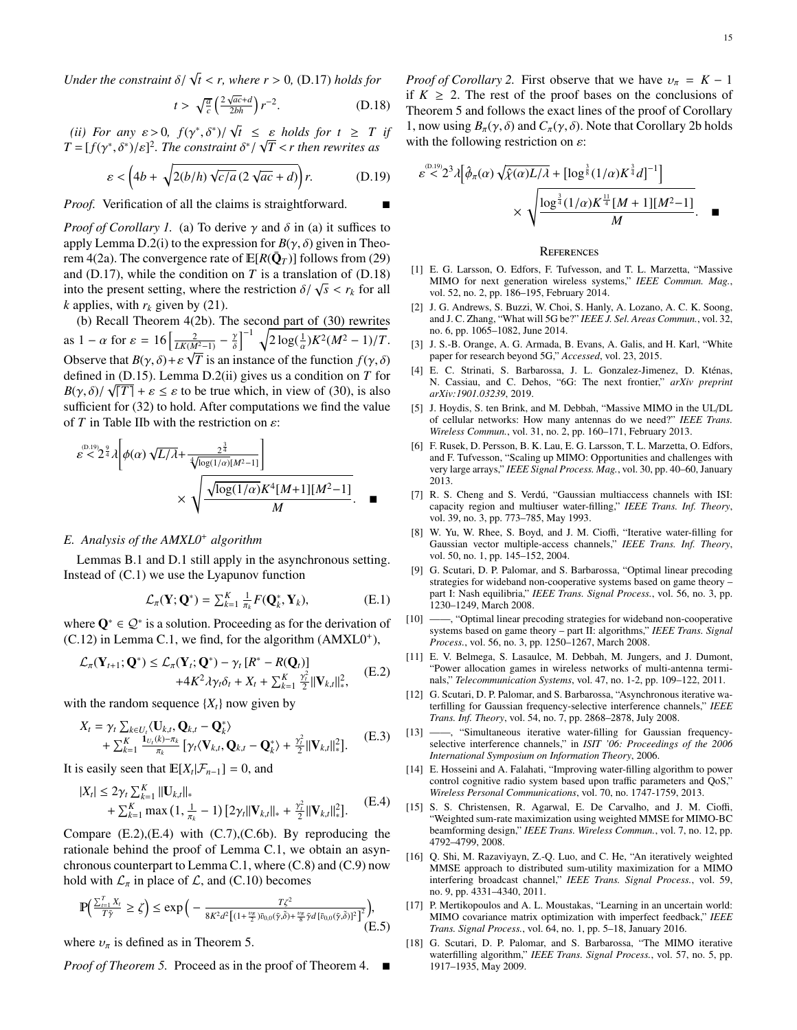*Under the constraint*  $\delta/\sqrt{t} < r$ , where  $r > 0$ , [\(D.17\)](#page-13-8) *holds for* 

<span id="page-14-17"></span>
$$
t > \sqrt{\frac{a}{c}} \left( \frac{2\sqrt{ac} + d}{2bh} \right) r^{-2}.
$$
 (D.18)

<span id="page-14-18"></span>(*ii*) *For any*  $\varepsilon > 0$ ,  $f(\gamma^*, \delta^*)/$ <br>  $f(-\frac{f(\gamma^*, \delta^*)}{\delta})^2$  *The constrain*  $\sqrt{t} \leq \varepsilon$  *holds for*  $t \geq T$  *if*<br>*t*  $\delta^* / \sqrt{T}$  < *t* then rewrites as  $T = [f(\gamma^*, \delta^*)/\varepsilon]^2$ . The constraint  $\delta^*$  $\frac{1}{\sqrt{T}}$  < *r* then rewrites as

<span id="page-14-19"></span>
$$
\varepsilon < \left(4b + \sqrt{2(b/h)\sqrt{c/a}\left(2\sqrt{ac} + d\right)}\right)r.\tag{D.19}
$$

*Proof.* Verification of all the claims is straightforward.

*Proof of Corollary [1.](#page-6-7)* [\(a\)](#page-6-8) To derive  $\gamma$  and  $\delta$  in (a) it suffices to apply [Lemma D.2\(](#page-13-9)[i\)](#page-13-10) to the expression for  $B(\gamma, \delta)$  given in [Theo](#page-6-10)[rem 4\(](#page-6-10)[2a\)](#page-6-18). The convergence rate of  $\mathbb{E}[R(\bar{\mathbf{Q}}_T)]$  follows from [\(29\)](#page-6-13) and  $(D.17)$ , while the condition on *T* is a translation of  $(D.18)$ into the present setting, where the restriction  $\delta/\sqrt{s} < r_k$  for all *k* annies with *r<sub>i</sub>* given by (21) *k* applies, with  $r_k$  given by [\(21\)](#page-4-9).

[\(b\)](#page-6-9) Recall [Theorem 4\(](#page-6-10)[2b\)](#page-6-19). The second part of [\(30\)](#page-6-14) rewrites as  $1 - \alpha$  for  $\varepsilon = 16 \left[ \frac{2}{LK(M^2-1)} - \frac{\gamma}{\delta} \right]$ δ  $\left[\frac{2}{(M^2-1)}-\frac{\gamma}{\delta}\right]^{-1}\sqrt{2\log(\frac{1}{\alpha})K^2(M^2-1)/T}.$ Observe that  $B(\gamma, \delta) + \varepsilon \sqrt{T}$  is an instance of the function  $f(\gamma, \delta)$ <br>defined in (D.15). Lemma D.2(ii) gives us a condition on T. for defined in [\(D.15\)](#page-13-11). [Lemma D.2](#page-13-9)[\(ii\)](#page-14-18) gives us a condition on *T* for  $B(\gamma, \delta) / \sqrt{|T|} + \varepsilon \leq \varepsilon$  to be true which, in view of [\(30\)](#page-6-14), is also sufficient for (32) to hold. After computations we find the value sufficient for [\(32\)](#page-6-12) to hold. After computations we find the value of  $T$  in Table [II](#page-6-11)[b](#page-6-9) with the restriction on  $\varepsilon$ :

$$
\varepsilon^{(0.19)} \varepsilon^{2/3} \lambda \left[ \phi(\alpha) \sqrt{L/\lambda} + \frac{2^{\frac{3}{4}}}{\sqrt[4]{\log(1/\alpha)} [M^{2}-1]} \right] \times \sqrt{\frac{\sqrt{\log(1/\alpha)} K^{4} [M+1][M^{2}-1]}{M}}.
$$

# <span id="page-14-16"></span>*E. Analysis of the AMXL0*<sup>+</sup> *algorithm*

Lemmas [B.1](#page-11-0) and [D.1](#page-13-1) still apply in the asynchronous setting. Instead of [\(C.1\)](#page-11-20) we use the Lyapunov function

$$
\mathcal{L}_{\pi}(\mathbf{Y};\mathbf{Q}^*) = \sum_{k=1}^K \frac{1}{\pi_k} F(\mathbf{Q}_k^*, \mathbf{Y}_k),
$$
 (E.1)

where  $\mathbf{Q}^* \in \mathcal{Q}^*$  is a solution. Proceeding as for the derivation of  $(C.12)$  in [Lemma C.1,](#page-11-12) we find, for the algorithm  $(AMXL0<sup>+</sup>)$  $(AMXL0<sup>+</sup>)$ ,

<span id="page-14-20"></span>
$$
\mathcal{L}_{\pi}(\mathbf{Y}_{t+1};\mathbf{Q}^*) \leq \mathcal{L}_{\pi}(\mathbf{Y}_t;\mathbf{Q}^*) - \gamma_t [R^* - R(\mathbf{Q}_t)] \n+4K^2 \lambda \gamma_t \delta_t + X_t + \sum_{k=1}^K \frac{\gamma_t^2}{2} ||\mathbf{V}_{k,t}||_*^2, \quad (E.2)
$$

with the random sequence  $\{X_t\}$  now given by

$$
X_t = \gamma_t \sum_{k \in U_t} \langle \mathbf{U}_{k,t}, \mathbf{Q}_{k,t} - \mathbf{Q}_k^* \rangle + \sum_{k=1}^K \frac{\mathbf{1}_{U_t(k) - \pi_k}}{\pi_k} \left[ \gamma_t \langle \mathbf{V}_{k,t}, \mathbf{Q}_{k,t} - \mathbf{Q}_k^* \rangle + \frac{\gamma_t^2}{2} ||\mathbf{V}_{k,t}||_*^2 \right].
$$
 (E.3)

It is easily seen that  $\mathbb{E}[X_t | \mathcal{F}_{n-1}] = 0$ , and

<span id="page-14-21"></span>
$$
\begin{aligned} |X_t| &\le 2\gamma_t \sum_{k=1}^K ||\mathbf{U}_{k,t}||_* \\ &+ \sum_{k=1}^K \max\left(1, \frac{1}{\pi_k} - 1\right) \left[2\gamma_t ||\mathbf{V}_{k,t}||_* + \frac{\gamma_t^2}{2} ||\mathbf{V}_{k,t}||_*^2\right]. \end{aligned} \tag{E.4}
$$

Compare  $(E.2)$ , $(E.4)$  with  $(C.7)$ , $(C.6b)$  $(C.6b)$ . By reproducing the rationale behind the proof of [Lemma C.1,](#page-11-12) we obtain an asynchronous counterpart to [Lemma C.1,](#page-11-12) where [\(C.8\)](#page-12-7) and [\(C.9\)](#page-12-10) now hold with  $\mathcal{L}_{\pi}$  in place of  $\mathcal{L}$ , and [\(C.10\)](#page-12-11) becomes

$$
\mathbb{P}\left(\frac{\sum_{i=1}^{T} X_i}{T\tilde{\gamma}} \geq \zeta\right) \leq \exp\left(-\frac{T\zeta^2}{8K^2d^2[(1+\frac{\nu_{\pi}}{2})\bar{v}_{0,0}(\tilde{\gamma},\tilde{\delta})+\frac{\nu_{\pi}}{8}\tilde{\gamma}d\left[\bar{v}_{0,0}(\tilde{\gamma},\tilde{\delta})\right]^2\right]},
$$
(E.5)

where  $v_{\pi}$  is defined as in [Theorem 5.](#page-7-7)

*Proof of [Theorem 5.](#page-7-7)* Proceed as in the proof of [Theorem 4.](#page-6-10) ■

*Proof of Corollary* [2.](#page-7-2) First observe that we have  $v_\pi = K - 1$ if  $K \geq 2$ . The rest of the proof bases on the conclusions of [Theorem 5](#page-7-7) and follows the exact lines of the proof of Corollary [1,](#page-6-7) now using  $B_\pi(\gamma, \delta)$  and  $C_\pi(\gamma, \delta)$ . Note that Corollary [2](#page-7-2)[b](#page-7-4) holds with the following restriction on  $\varepsilon$ :

$$
\varepsilon^{(0.19)} \times 2^3 \lambda \left[ \hat{\phi}_{\pi}(\alpha) \sqrt{\hat{\chi}(\alpha) L/\lambda} + \left[ \log^{\frac{3}{8}} (1/\alpha) K^{\frac{3}{4}} d \right]^{-1} \right] \times \sqrt{\frac{\log^{\frac{3}{4}} (1/\alpha) K^{\frac{11}{4}} [M+1][M^2-1]}{M}}.
$$

#### **REFERENCES**

- <span id="page-14-0"></span>[1] E. G. Larsson, O. Edfors, F. Tufvesson, and T. L. Marzetta, "Massive MIMO for next generation wireless systems," *IEEE Commun. Mag.*, vol. 52, no. 2, pp. 186–195, February 2014.
- <span id="page-14-1"></span>[2] J. G. Andrews, S. Buzzi, W. Choi, S. Hanly, A. Lozano, A. C. K. Soong, and J. C. Zhang, "What will 5G be?" *IEEE J. Sel. Areas Commun.*, vol. 32, no. 6, pp. 1065–1082, June 2014.
- <span id="page-14-2"></span>[3] J. S.-B. Orange, A. G. Armada, B. Evans, A. Galis, and H. Karl, "White paper for research beyond 5G," *Accessed*, vol. 23, 2015.
- <span id="page-14-3"></span>[4] E. C. Strinati, S. Barbarossa, J. L. Gonzalez-Jimenez, D. Kténas, N. Cassiau, and C. Dehos, "6G: The next frontier," *arXiv preprint arXiv:1901.03239*, 2019.
- <span id="page-14-4"></span>[5] J. Hoydis, S. ten Brink, and M. Debbah, "Massive MIMO in the UL/DL of cellular networks: How many antennas do we need?" *IEEE Trans. Wireless Commun.*, vol. 31, no. 2, pp. 160–171, February 2013.
- <span id="page-14-5"></span>[6] F. Rusek, D. Persson, B. K. Lau, E. G. Larsson, T. L. Marzetta, O. Edfors, and F. Tufvesson, "Scaling up MIMO: Opportunities and challenges with very large arrays," *IEEE Signal Process. Mag.*, vol. 30, pp. 40–60, January 2013.
- <span id="page-14-6"></span>[7] R. S. Cheng and S. Verdú, "Gaussian multiaccess channels with ISI: capacity region and multiuser water-filling," *IEEE Trans. Inf. Theory*, vol. 39, no. 3, pp. 773–785, May 1993.
- <span id="page-14-8"></span>[8] W. Yu, W. Rhee, S. Boyd, and J. M. Cioffi, "Iterative water-filling for Gaussian vector multiple-access channels," *IEEE Trans. Inf. Theory*, vol. 50, no. 1, pp. 145–152, 2004.
- [9] G. Scutari, D. P. Palomar, and S. Barbarossa, "Optimal linear precoding strategies for wideband non-cooperative systems based on game theory – part I: Nash equilibria," *IEEE Trans. Signal Process.*, vol. 56, no. 3, pp. 1230–1249, March 2008.
- [10] ——, "Optimal linear precoding strategies for wideband non-cooperative systems based on game theory – part II: algorithms," *IEEE Trans. Signal Process.*, vol. 56, no. 3, pp. 1250–1267, March 2008.
- <span id="page-14-7"></span>[11] E. V. Belmega, S. Lasaulce, M. Debbah, M. Jungers, and J. Dumont, "Power allocation games in wireless networks of multi-antenna terminals," *Telecommunication Systems*, vol. 47, no. 1-2, pp. 109–122, 2011.
- <span id="page-14-9"></span>[12] G. Scutari, D. P. Palomar, and S. Barbarossa, "Asynchronous iterative waterfilling for Gaussian frequency-selective interference channels," *IEEE Trans. Inf. Theory*, vol. 54, no. 7, pp. 2868–2878, July 2008.
- <span id="page-14-10"></span>[13] ——, "Simultaneous iterative water-filling for Gaussian frequencyselective interference channels," in *ISIT '06: Proceedings of the 2006 International Symposium on Information Theory*, 2006.
- <span id="page-14-13"></span>[14] E. Hosseini and A. Falahati, "Improving water-filling algorithm to power control cognitive radio system based upon traffic parameters and QoS," *Wireless Personal Communications*, vol. 70, no. 1747-1759, 2013.
- <span id="page-14-11"></span>[15] S. S. Christensen, R. Agarwal, E. De Carvalho, and J. M. Cioffi, "Weighted sum-rate maximization using weighted MMSE for MIMO-BC beamforming design," *IEEE Trans. Wireless Commun.*, vol. 7, no. 12, pp. 4792–4799, 2008.
- <span id="page-14-12"></span>[16] Q. Shi, M. Razaviyayn, Z.-Q. Luo, and C. He, "An iteratively weighted MMSE approach to distributed sum-utility maximization for a MIMO interfering broadcast channel," *IEEE Trans. Signal Process.*, vol. 59, no. 9, pp. 4331–4340, 2011.
- <span id="page-14-14"></span>[17] P. Mertikopoulos and A. L. Moustakas, "Learning in an uncertain world: MIMO covariance matrix optimization with imperfect feedback," *IEEE Trans. Signal Process.*, vol. 64, no. 1, pp. 5–18, January 2016.
- <span id="page-14-15"></span>[18] G. Scutari, D. P. Palomar, and S. Barbarossa, "The MIMO iterative waterfilling algorithm," *IEEE Trans. Signal Process.*, vol. 57, no. 5, pp. 1917–1935, May 2009.